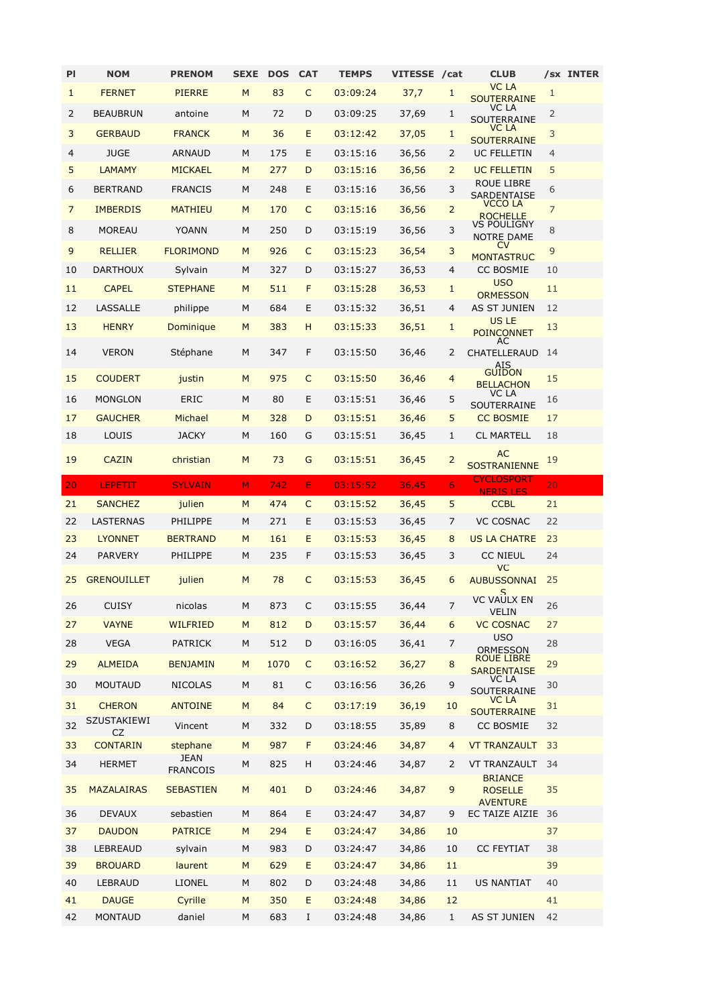| PI | <b>NOM</b>         | <b>PRENOM</b>           | <b>SEXE</b> | <b>DOS</b> | <b>CAT</b>   | <b>TEMPS</b> | <b>VITESSE</b> | /cat           | <b>CLUB</b>                           |                | /sx INTER |
|----|--------------------|-------------------------|-------------|------------|--------------|--------------|----------------|----------------|---------------------------------------|----------------|-----------|
| 1  | <b>FERNET</b>      | <b>PIERRE</b>           | M           | 83         | $\mathsf{C}$ | 03:09:24     | 37,7           | 1              | <b>VC LA</b><br><b>SOUTERRAINE</b>    | 1              |           |
| 2  | <b>BEAUBRUN</b>    | antoine                 | M           | 72         | D            | 03:09:25     | 37,69          | 1              | VC LA<br>SOUTERRAINE                  | 2              |           |
| 3  | <b>GERBAUD</b>     | <b>FRANCK</b>           | M           | 36         | E.           | 03:12:42     | 37,05          | 1              | VC LA<br><b>SOUTERRAINE</b>           | 3              |           |
| 4  | <b>JUGE</b>        | <b>ARNAUD</b>           | M           | 175        | E.           | 03:15:16     | 36,56          | 2              | <b>UC FELLETIN</b>                    | 4              |           |
| 5  | <b>LAMAMY</b>      | <b>MICKAEL</b>          | M           | 277        | D            | 03:15:16     | 36,56          | $\overline{2}$ | <b>UC FELLETIN</b>                    | 5              |           |
| 6  | <b>BERTRAND</b>    | <b>FRANCIS</b>          | M           | 248        | E            | 03:15:16     | 36,56          | 3              | ROUE LIBRE<br>SARDENTAISE             | 6              |           |
| 7  | <b>IMBERDIS</b>    | <b>MATHIEU</b>          | M           | 170        | $\mathsf{C}$ | 03:15:16     | 36,56          | 2              | VCCO LA<br><b>ROCHELLE</b>            | $\overline{7}$ |           |
| 8  | <b>MOREAU</b>      | <b>YOANN</b>            | M           | 250        | D            | 03:15:19     | 36,56          | 3              | <b>VS POULIGNY</b><br>NOTRE DAME      | 8              |           |
| 9  | <b>RELLIER</b>     | <b>FLORIMOND</b>        | M           | 926        | C            | 03:15:23     | 36,54          | 3              | <b>CV</b>                             | 9              |           |
| 10 | <b>DARTHOUX</b>    | Sylvain                 | M           | 327        | D            | 03:15:27     | 36,53          | 4              | <b>MONTASTRUC</b><br><b>CC BOSMIE</b> | 10             |           |
| 11 | <b>CAPEL</b>       | <b>STEPHANE</b>         | M           | 511        | F            | 03:15:28     | 36,53          | 1              | <b>USO</b>                            | 11             |           |
| 12 | LASSALLE           | philippe                | M           | 684        | E            | 03:15:32     | 36,51          | 4              | <b>ORMESSON</b><br>AS ST JUNIEN       | 12             |           |
|    | <b>HENRY</b>       | Dominique               |             |            |              |              |                |                | <b>US LE</b>                          |                |           |
| 13 |                    |                         | M           | 383        | н            | 03:15:33     | 36,51          | 1              | <b>POINCONNET</b><br>AC               | 13             |           |
| 14 | <b>VERON</b>       | Stéphane                | M           | 347        | F            | 03:15:50     | 36,46          | 2              | CHATELLERAUD<br><b>AIS</b>            | 14             |           |
| 15 | <b>COUDERT</b>     | justin                  | M           | 975        | C            | 03:15:50     | 36,46          | $\overline{4}$ | <b>GUIDON</b><br><b>BELLACHON</b>     | 15             |           |
| 16 | <b>MONGLON</b>     | <b>ERIC</b>             | M           | 80         | E            | 03:15:51     | 36,46          | 5              | VC LA<br>SOUTERRAINE                  | 16             |           |
| 17 | <b>GAUCHER</b>     | Michael                 | M           | 328        | D            | 03:15:51     | 36,46          | 5              | <b>CC BOSMIE</b>                      | 17             |           |
| 18 | LOUIS              | <b>JACKY</b>            | M           | 160        | G            | 03:15:51     | 36,45          | 1              | <b>CL MARTELL</b>                     | 18             |           |
| 19 | <b>CAZIN</b>       | christian               | M           | 73         | G            | 03:15:51     | 36,45          | $\overline{2}$ | <b>AC</b><br><b>SOSTRANIENNE</b>      | 19             |           |
| 20 | LEPETIT            | <b>SYLVAIN</b>          | M           | 742        | E.           | 03:15:52     | 36,45          | 6              | <b>CYCLOSPORT</b>                     | 20             |           |
| 21 | <b>SANCHEZ</b>     | julien                  | M           | 474        | C            | 03:15:52     | 36,45          | 5              | <b>NERIS LES</b><br><b>CCBL</b>       | 21             |           |
| 22 | LASTERNAS          | PHILIPPE                | M           | 271        | E            | 03:15:53     | 36,45          | 7              | <b>VC COSNAC</b>                      | 22             |           |
| 23 | <b>LYONNET</b>     | <b>BERTRAND</b>         | M           | 161        | E            | 03:15:53     | 36,45          | 8              | <b>US LA CHATRE</b>                   | 23             |           |
| 24 | PARVERY            | PHILIPPE                | M           | 235        | F            | 03:15:53     | 36,45          | 3              | <b>CC NIEUL</b>                       | 24             |           |
| 25 | <b>GRENOUILLET</b> | julien                  | M           | 78         | C            | 03:15:53     | 36,45          | 6              | <b>VC</b><br><b>AUBUSSONNAI</b>       | 25             |           |
| 26 | <b>CUISY</b>       | nicolas                 | M           | 873        | C            | 03:15:55     | 36,44          | 7              | S<br><b>VC VAULX EN</b>               | 26             |           |
| 27 | <b>VAYNE</b>       | WILFRIED                | M           | 812        | D            | 03:15:57     | 36,44          | 6              | <b>VELIN</b><br><b>VC COSNAC</b>      | 27             |           |
| 28 | <b>VEGA</b>        | <b>PATRICK</b>          | М           | 512        | D            | 03:16:05     | 36,41          | 7              | <b>USO</b>                            | 28             |           |
| 29 | <b>ALMEIDA</b>     | <b>BENJAMIN</b>         | M           | 1070       | $\mathsf C$  | 03:16:52     | 36,27          | $\bf 8$        | <b>ORMESSON</b><br><b>ROUE LIBRE</b>  | 29             |           |
| 30 | <b>MOUTAUD</b>     | <b>NICOLAS</b>          | М           | 81         | C            | 03:16:56     | 36,26          | 9              | <b>SARDENTAISE</b><br>VC LA           | 30             |           |
| 31 | <b>CHERON</b>      | <b>ANTOINE</b>          | M           | 84         | $\mathsf{C}$ | 03:17:19     | 36,19          | 10             | SOUTERRAINE<br><b>VC LA</b>           | 31             |           |
|    | SZUSTAKIEWI        |                         |             |            |              |              |                |                | <b>SOUTERRAINE</b>                    |                |           |
| 32 | CZ                 | Vincent                 | М           | 332        | D            | 03:18:55     | 35,89          | 8              | CC BOSMIE                             | 32             |           |
| 33 | <b>CONTARIN</b>    | stephane<br><b>JEAN</b> | M           | 987        | F            | 03:24:46     | 34,87          | $\overline{4}$ | <b>VT TRANZAULT</b>                   | 33             |           |
| 34 | <b>HERMET</b>      | <b>FRANCOIS</b>         | М           | 825        | H            | 03:24:46     | 34,87          | 2              | VT TRANZAULT<br><b>BRIANCE</b>        | 34             |           |
| 35 | <b>MAZALAIRAS</b>  | <b>SEBASTIEN</b>        | M           | 401        | D            | 03:24:46     | 34,87          | 9              | <b>ROSELLE</b><br><b>AVFNTURF</b>     | 35             |           |
| 36 | <b>DEVAUX</b>      | sebastien               | М           | 864        | E            | 03:24:47     | 34,87          | 9              | EC TAIZE AIZIE                        | 36             |           |
| 37 | <b>DAUDON</b>      | <b>PATRICE</b>          | M           | 294        | E            | 03:24:47     | 34,86          | 10             |                                       | 37             |           |
| 38 | LEBREAUD           | sylvain                 | М           | 983        | D            | 03:24:47     | 34,86          | 10             | <b>CC FEYTIAT</b>                     | 38             |           |
| 39 | <b>BROUARD</b>     | laurent                 | M           | 629        | E            | 03:24:47     | 34,86          | 11             |                                       | 39             |           |
| 40 | LEBRAUD            | LIONEL                  | M           | 802        | D            | 03:24:48     | 34,86          | 11             | <b>US NANTIAT</b>                     | 40             |           |
| 41 | <b>DAUGE</b>       | Cyrille                 | M           | 350        | E            | 03:24:48     | 34,86          | 12             |                                       | 41             |           |
| 42 | <b>MONTAUD</b>     | daniel                  | М           | 683        | $\rm I$      | 03:24:48     | 34,86          | 1              | AS ST JUNIEN                          | 42             |           |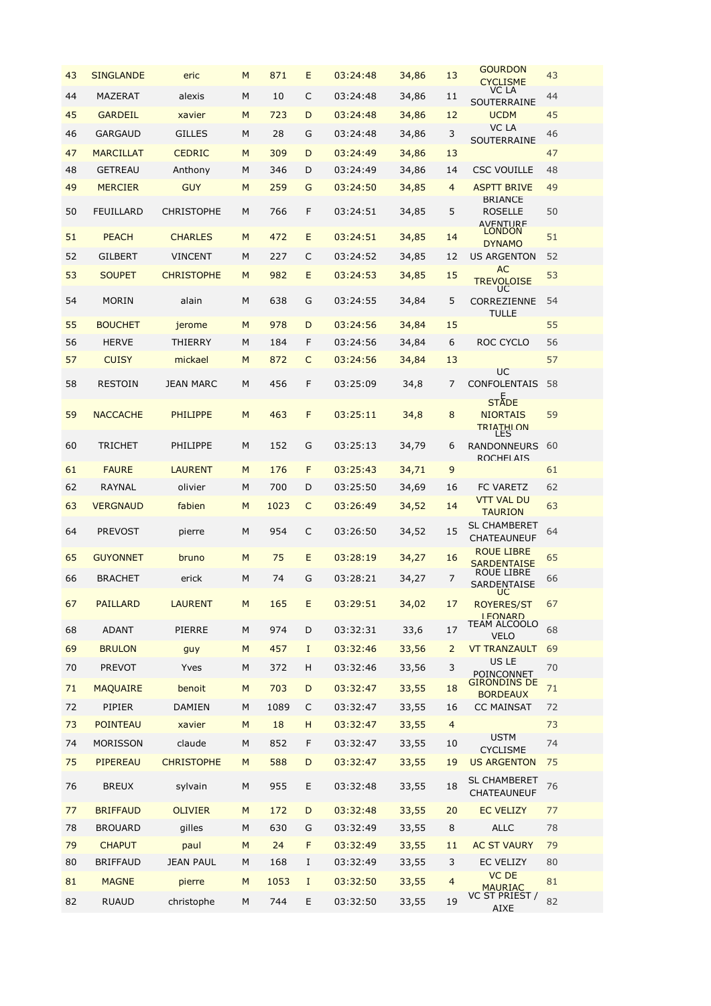| 43 | <b>SINGLANDE</b> | eric              | M | 871  | E  | 03:24:48 | 34,86 | 13             | <b>GOURDON</b><br><b>CYCLISME</b>                   | 43 |
|----|------------------|-------------------|---|------|----|----------|-------|----------------|-----------------------------------------------------|----|
| 44 | <b>MAZERAT</b>   | alexis            | M | 10   | C  | 03:24:48 | 34,86 | 11             | VC LA<br>SOUTERRAINE                                | 44 |
| 45 | <b>GARDEIL</b>   | xavier            | M | 723  | D  | 03:24:48 | 34,86 | 12             | <b>UCDM</b>                                         | 45 |
| 46 | <b>GARGAUD</b>   | <b>GILLES</b>     | M | 28   | G  | 03:24:48 | 34,86 | 3              | VC LA<br>SOUTERRAINE                                | 46 |
| 47 | <b>MARCILLAT</b> | <b>CEDRIC</b>     | M | 309  | D  | 03:24:49 | 34,86 | 13             |                                                     | 47 |
| 48 | <b>GETREAU</b>   | Anthony           | M | 346  | D  | 03:24:49 | 34,86 | 14             | <b>CSC VOUILLE</b>                                  | 48 |
| 49 | <b>MERCIER</b>   | <b>GUY</b>        | M | 259  | G  | 03:24:50 | 34,85 | $\overline{4}$ | <b>ASPTT BRIVE</b>                                  | 49 |
| 50 | <b>FEUILLARD</b> | <b>CHRISTOPHE</b> | M | 766  | F  | 03:24:51 | 34,85 | 5              | <b>BRIANCE</b><br><b>ROSELLE</b><br><b>AVENTURE</b> | 50 |
| 51 | <b>PEACH</b>     | <b>CHARLES</b>    | M | 472  | E  | 03:24:51 | 34,85 | 14             | <b>LONDON</b><br><b>DYNAMO</b>                      | 51 |
| 52 | <b>GILBERT</b>   | <b>VINCENT</b>    | M | 227  | C  | 03:24:52 | 34,85 | 12             | <b>US ARGENTON</b>                                  | 52 |
| 53 | <b>SOUPET</b>    | <b>CHRISTOPHE</b> | M | 982  | E  | 03:24:53 | 34,85 | 15             | <b>AC</b><br><b>TREVOLOISE</b><br>UC                | 53 |
| 54 | <b>MORIN</b>     | alain             | M | 638  | G  | 03:24:55 | 34,84 | 5              | CORREZIENNE<br>TULLE                                | 54 |
| 55 | <b>BOUCHET</b>   | jerome            | M | 978  | D  | 03:24:56 | 34,84 | 15             |                                                     | 55 |
| 56 | <b>HERVE</b>     | THIERRY           | M | 184  | F  | 03:24:56 | 34,84 | 6              | ROC CYCLO                                           | 56 |
| 57 | <b>CUISY</b>     | mickael           | M | 872  | C  | 03:24:56 | 34,84 | 13             | UC                                                  | 57 |
| 58 | <b>RESTOIN</b>   | <b>JEAN MARC</b>  | M | 456  | F  | 03:25:09 | 34,8  | 7              | <b>CONFOLENTAIS</b>                                 | 58 |
| 59 | <b>NACCACHE</b>  | <b>PHILIPPE</b>   | M | 463  | F  | 03:25:11 | 34,8  | 8              | <b>STADE</b><br><b>NIORTAIS</b><br>TRIATHI ON       | 59 |
| 60 | <b>TRICHET</b>   | PHILIPPE          | M | 152  | G  | 03:25:13 | 34,79 | 6              | <b>RANDONNEURS</b><br>ROCHELAIS                     | 60 |
| 61 | <b>FAURE</b>     | <b>LAURENT</b>    | M | 176  | F  | 03:25:43 | 34,71 | 9              |                                                     | 61 |
| 62 | RAYNAL           | olivier           | M | 700  | D  | 03:25:50 | 34,69 | 16             | <b>FC VARETZ</b>                                    | 62 |
| 63 | <b>VERGNAUD</b>  | fabien            | M | 1023 | C  | 03:26:49 | 34,52 | 14             | <b>VTT VAL DU</b><br><b>TAURION</b>                 | 63 |
| 64 | <b>PREVOST</b>   | pierre            | M | 954  | C  | 03:26:50 | 34,52 | 15             | <b>SL CHAMBERET</b><br>CHATEAUNEUF                  | 64 |
| 65 | <b>GUYONNET</b>  | bruno             | M | 75   | E  | 03:28:19 | 34,27 | 16             | <b>ROUE LIBRE</b><br><b>SARDENTAISE</b>             | 65 |
| 66 | <b>BRACHET</b>   | erick             | M | 74   | G  | 03:28:21 | 34,27 | 7              | ROUE LIBRE<br><b>SARDENTAISE</b><br><b>UC</b>       | 66 |
| 67 | <b>PAILLARD</b>  | <b>LAURENT</b>    | M | 165  | E. | 03:29:51 | 34,02 | 17             | <b>ROYERES/ST</b><br><b>I FONARD</b>                | 67 |
| 68 | <b>ADANT</b>     | <b>PIERRE</b>     | M | 974  | D  | 03:32:31 | 33,6  | 17             | TEAM ALCOOLO<br><b>VELO</b>                         | 68 |
| 69 | <b>BRULON</b>    | guy               | M | 457  | I  | 03:32:46 | 33,56 | $\overline{2}$ | <b>VT TRANZAULT</b>                                 | 69 |
| 70 | <b>PREVOT</b>    | Yves              | М | 372  | н  | 03:32:46 | 33,56 | 3              | <b>US LE</b><br>POINCONNET                          | 70 |
| 71 | <b>MAQUAIRE</b>  | benoit            | M | 703  | D  | 03:32:47 | 33,55 | 18             | <b>GIRONDINS DE</b><br><b>BORDEAUX</b>              | 71 |
| 72 | <b>PIPIER</b>    | <b>DAMIEN</b>     | M | 1089 | C  | 03:32:47 | 33,55 | 16             | <b>CC MAINSAT</b>                                   | 72 |
| 73 | <b>POINTEAU</b>  | xavier            | M | 18   | н  | 03:32:47 | 33,55 | $\overline{4}$ |                                                     | 73 |
| 74 | <b>MORISSON</b>  | claude            | М | 852  | F  | 03:32:47 | 33,55 | 10             | <b>USTM</b><br><b>CYCLISME</b>                      | 74 |
| 75 | PIPEREAU         | <b>CHRISTOPHE</b> | M | 588  | D  | 03:32:47 | 33,55 | 19             | <b>US ARGENTON</b>                                  | 75 |
| 76 | <b>BREUX</b>     | sylvain           | M | 955  | E  | 03:32:48 | 33,55 | 18             | <b>SL CHAMBERET</b><br>CHATEAUNEUF                  | 76 |
| 77 | <b>BRIFFAUD</b>  | <b>OLIVIER</b>    | M | 172  | D  | 03:32:48 | 33,55 | 20             | <b>EC VELIZY</b>                                    | 77 |
| 78 | <b>BROUARD</b>   | gilles            | M | 630  | G  | 03:32:49 | 33,55 | 8              | <b>ALLC</b>                                         | 78 |
| 79 | <b>CHAPUT</b>    | paul              | M | 24   | F  | 03:32:49 | 33,55 | 11             | <b>AC ST VAURY</b>                                  | 79 |
| 80 | <b>BRIFFAUD</b>  | <b>JEAN PAUL</b>  | М | 168  | I  | 03:32:49 | 33,55 | 3              | <b>EC VELIZY</b>                                    | 80 |
| 81 | <b>MAGNE</b>     | pierre            | M | 1053 | I  | 03:32:50 | 33,55 | $\overline{4}$ | <b>VC DE</b><br><b>MAURIAC</b>                      | 81 |
| 82 | <b>RUAUD</b>     | christophe        | М | 744  | Ε  | 03:32:50 | 33,55 | 19             | VC ST PRIEST /<br><b>AIXE</b>                       | 82 |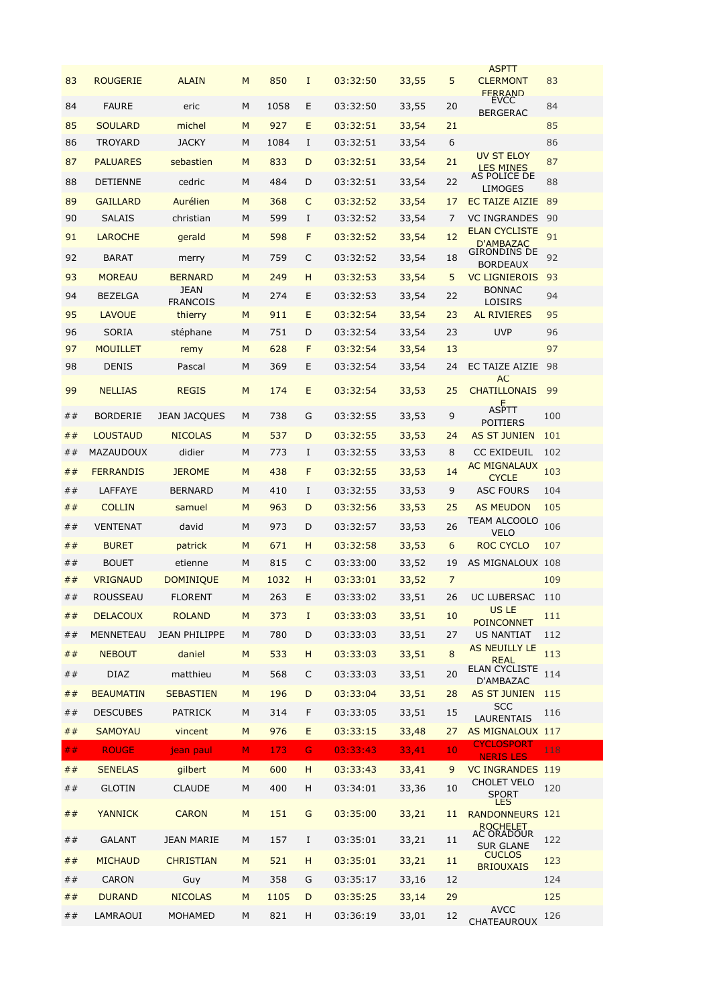| 83 | <b>ROUGERIE</b>  | <b>ALAIN</b>            | M  | 850  | $\mathbf I$ | 03:32:50 | 33,55 | 5               | ASPII<br><b>CLERMONT</b><br><b>FFRRAND</b>    | 83  |
|----|------------------|-------------------------|----|------|-------------|----------|-------|-----------------|-----------------------------------------------|-----|
| 84 | <b>FAURE</b>     | eric                    | м  | 1058 | E           | 03:32:50 | 33,55 | 20              | <b>EVCC</b><br><b>BERGERAC</b>                | 84  |
| 85 | <b>SOULARD</b>   | michel                  | M  | 927  | E           | 03:32:51 | 33,54 | 21              |                                               | 85  |
| 86 | TROYARD          | <b>JACKY</b>            | М  | 1084 | I           | 03:32:51 | 33,54 | 6               |                                               | 86  |
| 87 | <b>PALUARES</b>  | sebastien               | M  | 833  | D           | 03:32:51 | 33,54 | 21              | <b>UV ST ELOY</b>                             | 87  |
| 88 | <b>DETIENNE</b>  | cedric                  | M  | 484  | D           | 03:32:51 | 33,54 | 22              | <b>LES MINES</b><br>AS POLICE DE<br>LIMOGES   | 88  |
| 89 | <b>GAILLARD</b>  | Aurélien                | M  | 368  | C           | 03:32:52 | 33,54 | 17              | EC TAIZE AIZIE                                | 89  |
| 90 | <b>SALAIS</b>    | christian               | M  | 599  | I           | 03:32:52 | 33,54 | 7               | <b>VC INGRANDES</b>                           | 90  |
| 91 | <b>LAROCHE</b>   | gerald                  | M  | 598  | F           | 03:32:52 | 33,54 | 12              | <b>ELAN CYCLISTE</b><br>D'AMBAZAC             | 91  |
| 92 | <b>BARAT</b>     | merry                   | M  | 759  | C           | 03:32:52 | 33,54 | 18              | GIRONDINS DE<br><b>BORDEAUX</b>               | 92  |
| 93 | <b>MOREAU</b>    | <b>BERNARD</b>          | M  | 249  | н           | 03:32:53 | 33,54 | 5               | <b>VC LIGNIEROIS</b>                          | 93  |
| 94 | <b>BEZELGA</b>   | JEAN<br><b>FRANCOIS</b> | M  | 274  | E           | 03:32:53 | 33,54 | 22              | <b>BONNAC</b><br>LOISIRS                      | 94  |
| 95 | <b>LAVOUE</b>    | thierry                 | M  | 911  | E           | 03:32:54 | 33,54 | 23              | <b>AL RIVIERES</b>                            | 95  |
| 96 | <b>SORIA</b>     | stéphane                | М  | 751  | D           | 03:32:54 | 33,54 | 23              | <b>UVP</b>                                    | 96  |
| 97 | <b>MOUILLET</b>  | remy                    | M  | 628  | F           | 03:32:54 | 33,54 | 13              |                                               | 97  |
| 98 | DENIS            | Pascal                  | M  | 369  | Ε           | 03:32:54 | 33,54 | 24              | EC TAIZE AIZIE                                | 98  |
| 99 | <b>NELLIAS</b>   | <b>REGIS</b>            | M  | 174  | E           | 03:32:54 | 33,53 | 25              | AC<br><b>CHATILLONAIS</b><br>F                | 99  |
| ## | <b>BORDERIE</b>  | <b>JEAN JACQUES</b>     | М  | 738  | G           | 03:32:55 | 33,53 | 9               | <b>ASPTT</b><br>POITIERS                      | 100 |
| ## | <b>LOUSTAUD</b>  | <b>NICOLAS</b>          | M  | 537  | D           | 03:32:55 | 33,53 | 24              | <b>AS ST JUNIEN</b>                           | 101 |
| ## | MAZAUDOUX        | didier                  | М  | 773  | I           | 03:32:55 | 33,53 | 8               | <b>CC EXIDEUIL</b>                            | 102 |
| ## | <b>FERRANDIS</b> | <b>JEROME</b>           | M  | 438  | F           | 03:32:55 | 33,53 | 14              | <b>AC MIGNALAUX</b><br><b>CYCLE</b>           | 103 |
| ## | LAFFAYE          | <b>BERNARD</b>          | M  | 410  | I           | 03:32:55 | 33,53 | 9               | <b>ASC FOURS</b>                              | 104 |
| ## | <b>COLLIN</b>    | samuel                  | M  | 963  | D           | 03:32:56 | 33,53 | 25              | <b>AS MEUDON</b>                              | 105 |
| ## | <b>VENTENAT</b>  | david                   | M  | 973  | D           | 03:32:57 | 33,53 | 26              | TEAM ALCOOLO<br><b>VELO</b>                   | 106 |
| ## | <b>BURET</b>     | patrick                 | M  | 671  | н           | 03:32:58 | 33,53 | 6               | ROC CYCLO                                     | 107 |
| ## | <b>BOUET</b>     | etienne                 | M  | 815  | C           | 03:33:00 | 33,52 | 19              | AS MIGNALOUX 108                              |     |
| ## | <b>VRIGNAUD</b>  | <b>DOMINIQUE</b>        | M  | 1032 | н           | 03:33:01 | 33,52 | $\overline{7}$  |                                               | 109 |
| ## | ROUSSEAU         | <b>FLORENT</b>          | М  | 263  | E           | 03:33:02 | 33,51 | 26              | UC LUBERSAC                                   | 110 |
| ## | <b>DELACOUX</b>  | <b>ROLAND</b>           | M  | 373  | $\mathbf I$ | 03:33:03 | 33,51 | 10              | US LE<br><b>POINCONNET</b>                    | 111 |
| ## | <b>MENNETEAU</b> | <b>JEAN PHILIPPE</b>    | М  | 780  | D           | 03:33:03 | 33,51 | 27              | US NANTIAT                                    | 112 |
| ## | <b>NEBOUT</b>    | daniel                  | M  | 533  | H           | 03:33:03 | 33,51 | 8               | <b>AS NEUILLY LE</b>                          | 113 |
| ## | <b>DIAZ</b>      | matthieu                | М  | 568  | C           | 03:33:03 | 33,51 | 20              | <b>REAL</b><br>ELAN CYCLISTE                  | 114 |
| ## | <b>BEAUMATIN</b> | <b>SEBASTIEN</b>        | M  | 196  | D           | 03:33:04 | 33,51 | 28              | D'AMBAZAC<br><b>AS ST JUNIEN</b>              | 115 |
| ## | <b>DESCUBES</b>  | <b>PATRICK</b>          | М  | 314  | F           | 03:33:05 | 33,51 | 15              | <b>SCC</b>                                    | 116 |
| ## | <b>SAMOYAU</b>   | vincent                 | M  | 976  | E           | 03:33:15 |       |                 | <b>LAURENTAIS</b>                             |     |
| ## |                  |                         |    |      |             |          | 33,48 | 27              | AS MIGNALOUX 117<br><b>CYCLOSPORT</b>         |     |
|    | <b>ROUGE</b>     | jean paul               | M. | 173  | G           | 03:33:43 | 33,41 | 10 <sub>1</sub> | <b>NERIS LES</b>                              | 118 |
| ## | <b>SENELAS</b>   | gilbert                 | M  | 600  | H           | 03:33:43 | 33,41 | 9               | <b>VC INGRANDES 119</b><br><b>CHOLET VELO</b> |     |
| ## | <b>GLOTIN</b>    | <b>CLAUDE</b>           | М  | 400  | H           | 03:34:01 | 33,36 | 10              | <b>SPORT</b><br><b>LES</b>                    | 120 |
| ## | <b>YANNICK</b>   | <b>CARON</b>            | M  | 151  | G           | 03:35:00 | 33,21 | 11              | RANDONNEURS 121<br>ROCHELET                   |     |
| ## | <b>GALANT</b>    | <b>JEAN MARIE</b>       | М  | 157  | $\bf{I}$    | 03:35:01 | 33,21 | 11              | AC ORADOUR<br><b>SUR GLANE</b>                | 122 |
| ## | <b>MICHAUD</b>   | <b>CHRISTIAN</b>        | M  | 521  | H           | 03:35:01 | 33,21 | 11              | <b>CUCLOS</b><br><b>BRIOUXAIS</b>             | 123 |
| ## | <b>CARON</b>     | Guy                     | М  | 358  | G           | 03:35:17 | 33,16 | 12              |                                               | 124 |
| ## | <b>DURAND</b>    | <b>NICOLAS</b>          | M  | 1105 | D           | 03:35:25 | 33,14 | 29              |                                               | 125 |
| ## | LAMRAOUI         | MOHAMED                 | М  | 821  | H           | 03:36:19 | 33,01 | 12              | <b>AVCC</b><br>CHATEAUROUX                    | 126 |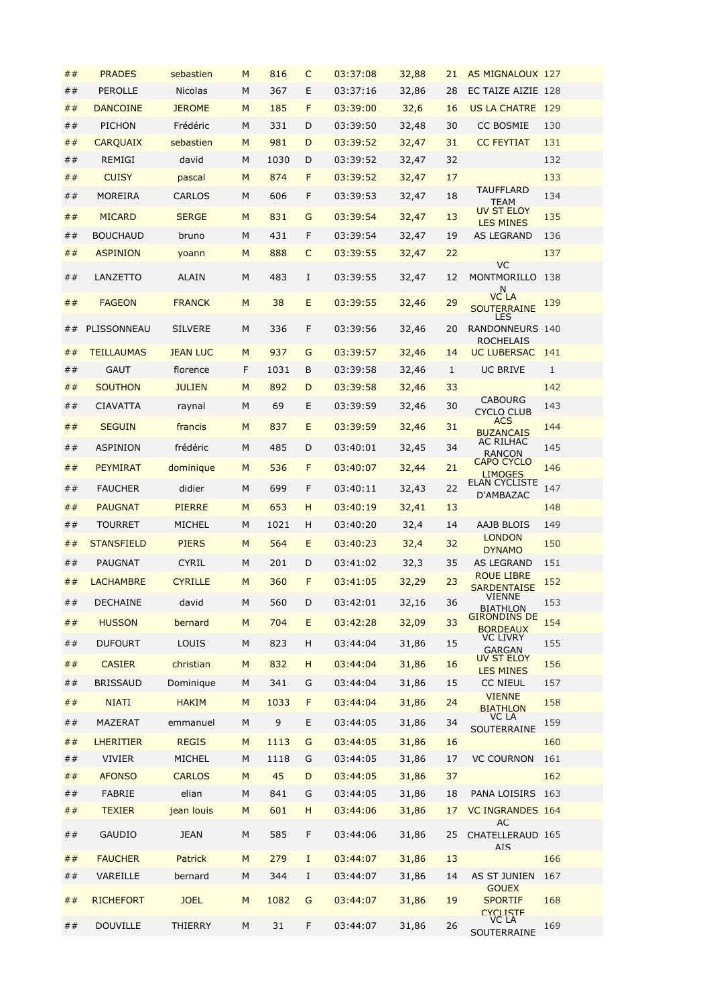| ##       | <b>PRADES</b>     | sebastien       | M         | 816  | C        | 03:37:08 | 32,88 | 21 | <b>AS MIGNALOUX 127</b>                           |              |
|----------|-------------------|-----------------|-----------|------|----------|----------|-------|----|---------------------------------------------------|--------------|
| ##       | <b>PEROLLE</b>    | <b>Nicolas</b>  | M         | 367  | E        | 03:37:16 | 32,86 | 28 | EC TAIZE AIZIE 128                                |              |
| ##       | <b>DANCOINE</b>   | <b>JEROME</b>   | M         | 185  | F        | 03:39:00 | 32,6  | 16 | US LA CHATRE 129                                  |              |
| ##       | PICHON            | Frédéric        | M         | 331  | D        | 03:39:50 | 32,48 | 30 | <b>CC BOSMIE</b>                                  | 130          |
| ##       | <b>CARQUAIX</b>   | sebastien       | M         | 981  | D        | 03:39:52 | 32,47 | 31 | <b>CC FEYTIAT</b>                                 | 131          |
| ##       | REMIGI            | david           | M         | 1030 | D        | 03:39:52 | 32,47 | 32 |                                                   | 132          |
| ##       | <b>CUISY</b>      | pascal          | M         | 874  | F        | 03:39:52 | 32,47 | 17 |                                                   | 133          |
| ##       | MOREIRA           | CARLOS          | M         | 606  | F        | 03:39:53 | 32,47 | 18 | TAUFFLARD<br>TEAM                                 | 134          |
| ##       | <b>MICARD</b>     | <b>SERGE</b>    | M         | 831  | G        | 03:39:54 | 32,47 | 13 | <b>UV ST ELOY</b>                                 | 135          |
| ##       | <b>BOUCHAUD</b>   | bruno           | M         | 431  | F        | 03:39:54 | 32,47 | 19 | <b>LES MINES</b><br><b>AS LEGRAND</b>             | 136          |
| ##       | <b>ASPINION</b>   | yoann           | M         | 888  | C        | 03:39:55 | 32,47 | 22 |                                                   | 137          |
|          |                   |                 |           |      |          |          |       |    | <b>VC</b>                                         |              |
| ##       | LANZETTO          | <b>ALAIN</b>    | M         | 483  | I        | 03:39:55 | 32,47 | 12 | MONTMORILLO 138<br>N                              |              |
| ##       | <b>FAGEON</b>     | <b>FRANCK</b>   | M         | 38   | E        | 03:39:55 | 32,46 | 29 | <b>VC LA</b><br><b>SOUTERRAINE</b><br><b>LES</b>  | 139          |
| ##       | PLISSONNEAU       | <b>SILVERE</b>  | M         | 336  | F        | 03:39:56 | 32,46 | 20 | RANDONNEURS 140<br>ROCHELAIS                      |              |
| ##       | <b>TEILLAUMAS</b> | <b>JEAN LUC</b> | M         | 937  | G        | 03:39:57 | 32,46 | 14 | <b>UC LUBERSAC</b>                                | 141          |
| ##       | <b>GAUT</b>       | florence        | F         | 1031 | В        | 03:39:58 | 32,46 | 1  | UC BRIVE                                          | $\mathbf{1}$ |
| ##       | <b>SOUTHON</b>    | <b>JULIEN</b>   | M         | 892  | D        | 03:39:58 | 32,46 | 33 |                                                   | 142          |
| ##       | <b>CIAVATTA</b>   | raynal          | M         | 69   | Е        | 03:39:59 | 32,46 | 30 | <b>CABOURG</b><br><b>CYCLO CLUB</b>               | 143          |
| ##       | <b>SEGUIN</b>     | francis         | M         | 837  | E        | 03:39:59 | 32,46 | 31 | <b>ACS</b><br><b>BUZANCAIS</b>                    | 144          |
| ##       | ASPINION          | frédéric        | M         | 485  | D        | 03:40:01 | 32,45 | 34 | AC RILHAC                                         | 145          |
| ##       | <b>PEYMIRAT</b>   | dominique       | M         | 536  | F        | 03:40:07 | 32,44 | 21 | RANCON<br><b>CAPO CYCLO</b><br><b>LIMOGES</b>     | 146          |
| ##       | <b>FAUCHER</b>    | didier          | M         | 699  | F        | 03:40:11 | 32,43 | 22 | <b>ELAN CYCLISTE</b><br>D'AMBAZAC                 | 147          |
| ##       | <b>PAUGNAT</b>    | <b>PIERRE</b>   | M         | 653  | H        | 03:40:19 | 32,41 | 13 |                                                   | 148          |
| ##       | <b>TOURRET</b>    | MICHEL          | M         | 1021 | H        | 03:40:20 | 32,4  | 14 | AAJB BLOIS                                        | 149          |
| ##       | <b>STANSFIELD</b> | <b>PIERS</b>    | M         | 564  | E        | 03:40:23 | 32,4  | 32 | <b>LONDON</b>                                     | 150          |
| ##       | <b>PAUGNAT</b>    | <b>CYRIL</b>    | M         | 201  | D        | 03:41:02 | 32,3  | 35 | <b>DYNAMO</b><br><b>AS LEGRAND</b>                | 151          |
| ##       | <b>LACHAMBRE</b>  | <b>CYRILLE</b>  | M         | 360  | F        | 03:41:05 | 32,29 | 23 | <b>ROUE LIBRE</b>                                 | 152          |
|          |                   |                 |           |      |          |          |       |    | <b>SARDENTAISE</b><br><b>VIENNE</b>               |              |
| $\#\,\#$ | DECHAINE          | david           | ${\sf M}$ | 560  | D        | 03:42:01 | 32,16 | 36 | <b>BIATHLON</b><br><b>GIRONDINS DE</b>            | 153          |
| ##       | <b>HUSSON</b>     | bernard         | M         | 704  | E        | 03:42:28 | 32,09 | 33 | <b>BORDEAUX</b><br><b>VC LIVRY</b>                | 154          |
| ##       | <b>DUFOURT</b>    | LOUIS           | M         | 823  | н        | 03:44:04 | 31,86 | 15 | <b>GARGAN</b><br>UV ST ELOY                       | 155          |
| ##       | <b>CASIER</b>     | christian       | M         | 832  | н        | 03:44:04 | 31,86 | 16 | <b>LES MINES</b>                                  | 156          |
| ##       | <b>BRISSAUD</b>   | Dominique       | M         | 341  | G        | 03:44:04 | 31,86 | 15 | <b>CC NIEUL</b>                                   | 157          |
| ##       | <b>NIATI</b>      | <b>HAKIM</b>    | M         | 1033 | F        | 03:44:04 | 31,86 | 24 | <b>VIENNE</b><br><b>BIATHLON</b>                  | 158          |
| ##       | MAZERAT           | emmanuel        | M         | 9    | E        | 03:44:05 | 31,86 | 34 | VC LA<br>SOUTERRAINE                              | 159          |
| ##       | <b>LHERITIER</b>  | <b>REGIS</b>    | M         | 1113 | G        | 03:44:05 | 31,86 | 16 |                                                   | 160          |
| ##       | <b>VIVIER</b>     | MICHEL          | M         | 1118 | G        | 03:44:05 | 31,86 | 17 | <b>VC COURNON</b>                                 | 161          |
| ##       | <b>AFONSO</b>     | <b>CARLOS</b>   | M         | 45   | D        | 03:44:05 | 31,86 | 37 |                                                   | 162          |
| ##       | FABRIE            | elian           | M         | 841  | G        | 03:44:05 | 31,86 | 18 | PANA LOISIRS                                      | 163          |
| ##       | <b>TEXIER</b>     | jean louis      | M         | 601  | н        | 03:44:06 | 31,86 | 17 | <b>VC INGRANDES 164</b><br><b>AC</b>              |              |
| ##       | <b>GAUDIO</b>     | <b>JEAN</b>     | M         | 585  | F        | 03:44:06 | 31,86 | 25 | CHATELLERAUD 165<br><b>AIS</b>                    |              |
| ##       | <b>FAUCHER</b>    | Patrick         | M         | 279  | $\bf{I}$ | 03:44:07 | 31,86 | 13 |                                                   | 166          |
| ##       | VAREILLE          | bernard         | M         | 344  | I        | 03:44:07 | 31,86 | 14 | AS ST JUNIEN                                      | 167          |
| ##       | <b>RICHEFORT</b>  | <b>JOEL</b>     | M         | 1082 | G        | 03:44:07 | 31,86 | 19 | <b>GOUEX</b><br><b>SPORTIF</b><br><b>CYCLISTE</b> | 168          |
| ##       | <b>DOUVILLE</b>   | THIERRY         | M         | 31   | F        | 03:44:07 | 31,86 | 26 | VC LA<br><b>SOUTERRAINE</b>                       | 169          |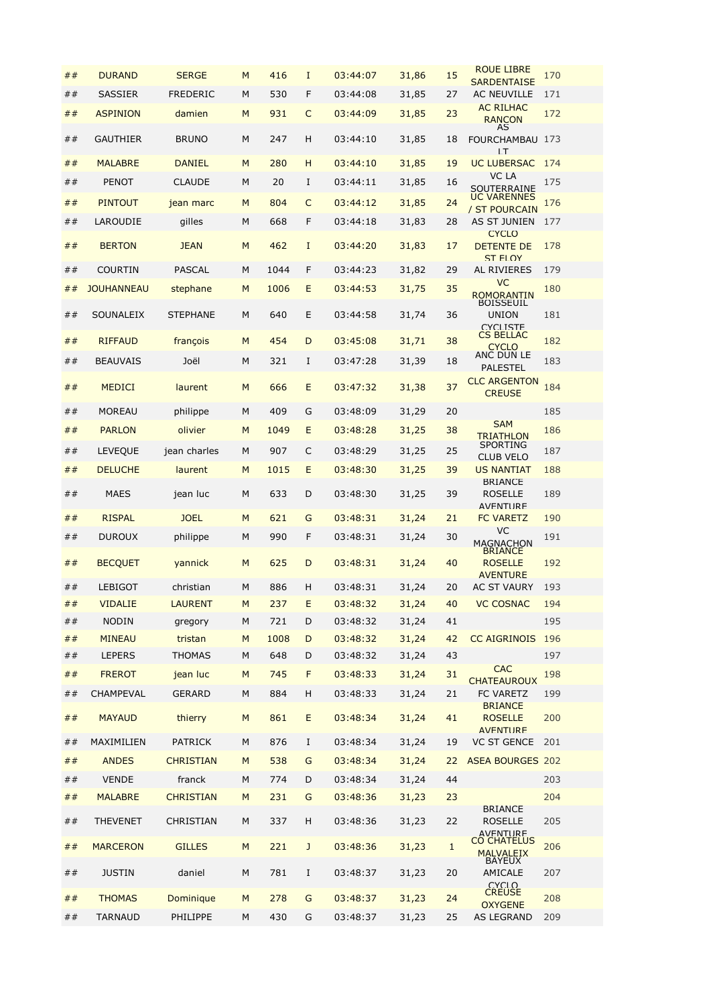| ## | <b>DURAND</b>     | <b>SERGE</b>     | M | 416  | $\mathbf I$ | 03:44:07 | 31,86 | 15 | <b>ROUE LIBRE</b><br><b>SARDENTAISE</b>             | 170 |
|----|-------------------|------------------|---|------|-------------|----------|-------|----|-----------------------------------------------------|-----|
| ## | <b>SASSIER</b>    | <b>FREDERIC</b>  | M | 530  | F           | 03:44:08 | 31,85 | 27 | <b>AC NEUVILLE</b>                                  | 171 |
| ## | <b>ASPINION</b>   | damien           | M | 931  | C           | 03:44:09 | 31,85 | 23 | <b>AC RILHAC</b><br><b>RANCON</b>                   | 172 |
| ## | <b>GAUTHIER</b>   | <b>BRUNO</b>     | M | 247  | H           | 03:44:10 | 31,85 | 18 | AS<br>FOURCHAMBAU 173<br>1T                         |     |
| ## | <b>MALABRE</b>    | <b>DANIEL</b>    | M | 280  | H           | 03:44:10 | 31,85 | 19 | <b>UC LUBERSAC</b>                                  | 174 |
| ## | <b>PENOT</b>      | <b>CLAUDE</b>    | M | 20   | I           | 03:44:11 | 31,85 | 16 | VC LA<br>SOUTERRAINE                                | 175 |
| ## | <b>PINTOUT</b>    | jean marc        | M | 804  | C           | 03:44:12 | 31,85 | 24 | <b>UC VARENNES</b>                                  | 176 |
| ## | LAROUDIE          | gilles           | M | 668  | F           | 03:44:18 | 31,83 | 28 | / ST POURCAIN<br>AS ST JUNIEN                       | 177 |
| ## | <b>BERTON</b>     | <b>JEAN</b>      | M | 462  | I           | 03:44:20 | 31,83 | 17 | <b>CYCLO</b><br><b>DETENTE DE</b>                   | 178 |
| ## | <b>COURTIN</b>    | <b>PASCAL</b>    | M | 1044 | F           | 03:44:23 | 31,82 | 29 | ST FLOY<br>AL RIVIERES                              | 179 |
| ## | <b>JOUHANNEAU</b> | stephane         | M | 1006 | E           | 03:44:53 | 31,75 | 35 | <b>VC</b>                                           | 180 |
|    |                   |                  |   |      |             |          |       |    | <b>ROMORANTIN</b><br><b>BOISSEUIL</b>               |     |
| ## | SOUNALEIX         | <b>STEPHANE</b>  | M | 640  | E           | 03:44:58 | 31,74 | 36 | <b>UNION</b><br><b>CYCLISTE</b><br><b>CS BELLAC</b> | 181 |
| ## | <b>RIFFAUD</b>    | françois         | M | 454  | D           | 03:45:08 | 31,71 | 38 | <b>CYCLO</b>                                        | 182 |
| ## | <b>BEAUVAIS</b>   | Joël             | M | 321  | I           | 03:47:28 | 31,39 | 18 | ANC DUN LE<br>PALESTEL                              | 183 |
| ## | <b>MEDICI</b>     | laurent          | M | 666  | E           | 03:47:32 | 31,38 | 37 | <b>CLC ARGENTON</b><br><b>CREUSE</b>                | 184 |
| ## | <b>MOREAU</b>     | philippe         | M | 409  | G           | 03:48:09 | 31,29 | 20 |                                                     | 185 |
| ## | <b>PARLON</b>     | olivier          | M | 1049 | E           | 03:48:28 | 31,25 | 38 | <b>SAM</b><br><b>TRIATHLON</b>                      | 186 |
| ## | <b>LEVEQUE</b>    | jean charles     | M | 907  | C           | 03:48:29 | 31,25 | 25 | <b>SPORTING</b><br><b>CLUB VELO</b>                 | 187 |
| ## | <b>DELUCHE</b>    | laurent          | M | 1015 | E           | 03:48:30 | 31,25 | 39 | <b>US NANTIAT</b><br><b>BRIANCE</b>                 | 188 |
| ## | <b>MAES</b>       | jean luc         | M | 633  | D           | 03:48:30 | 31,25 | 39 | <b>ROSELLE</b><br><b>AVENTURE</b>                   | 189 |
| ## | <b>RISPAL</b>     | <b>JOEL</b>      | M | 621  | G           | 03:48:31 | 31,24 | 21 | <b>FC VARETZ</b>                                    | 190 |
| ## | <b>DUROUX</b>     | philippe         | M | 990  | F           | 03:48:31 | 31,24 | 30 | VC<br><b>MAGNACHON</b>                              | 191 |
| ## | <b>BECQUET</b>    | yannick          | M | 625  | D           | 03:48:31 | 31,24 | 40 | <b>BRIANCE</b><br><b>ROSELLE</b><br><b>AVENTURE</b> | 192 |
| ## | <b>LEBIGOT</b>    | christian        | M | 886  | H           | 03:48:31 | 31,24 | 20 | <b>AC ST VAURY</b>                                  | 193 |
| ## | <b>VIDALIE</b>    | <b>LAURENT</b>   | M | 237  | E           | 03:48:32 | 31,24 | 40 | <b>VC COSNAC</b>                                    | 194 |
| ## | <b>NODIN</b>      | gregory          | М | 721  | D           | 03:48:32 | 31,24 | 41 |                                                     | 195 |
| ## | <b>MINEAU</b>     | tristan          | M | 1008 | D           | 03:48:32 | 31,24 | 42 | <b>CC AIGRINOIS</b>                                 | 196 |
| ## | <b>LEPERS</b>     | <b>THOMAS</b>    | M | 648  | D           | 03:48:32 | 31,24 | 43 |                                                     | 197 |
| ## | <b>FREROT</b>     | jean luc         | M | 745  | F           | 03:48:33 | 31,24 | 31 | <b>CAC</b><br><b>CHATEAUROUX</b>                    | 198 |
| ## | CHAMPEVAL         | GERARD           | М | 884  | H           | 03:48:33 | 31,24 | 21 | <b>FC VARETZ</b>                                    | 199 |
| ## | <b>MAYAUD</b>     | thierry          | M | 861  | E           | 03:48:34 | 31,24 | 41 | <b>BRIANCE</b><br><b>ROSELLE</b><br><b>AVFNTURF</b> | 200 |
| ## | MAXIMILIEN        | <b>PATRICK</b>   | M | 876  | I           | 03:48:34 | 31,24 | 19 | <b>VC ST GENCE</b>                                  | 201 |
| ## | <b>ANDES</b>      | <b>CHRISTIAN</b> | M | 538  | G           | 03:48:34 | 31,24 | 22 | <b>ASEA BOURGES 202</b>                             |     |
| ## | <b>VENDE</b>      | franck           | М | 774  | D           | 03:48:34 | 31,24 | 44 |                                                     | 203 |
| ## | <b>MALABRE</b>    | <b>CHRISTIAN</b> | M | 231  | G           | 03:48:36 | 31,23 | 23 |                                                     | 204 |
| ## | <b>THEVENET</b>   | CHRISTIAN        | M | 337  | H           | 03:48:36 | 31,23 | 22 | <b>BRIANCE</b><br><b>ROSELLE</b><br><b>AVENTURE</b> | 205 |
| ## | <b>MARCERON</b>   | <b>GILLES</b>    | M | 221  | J           | 03:48:36 | 31,23 | 1  | <b>CO CHATELUS</b><br><b>MALVALEIX</b>              | 206 |
| ## | <b>JUSTIN</b>     | daniel           | М | 781  | I           | 03:48:37 | 31,23 | 20 | <b>BAYEUX</b><br>AMICALE<br>CYCLO                   | 207 |
| ## | <b>THOMAS</b>     | Dominique        | M | 278  | G           | 03:48:37 | 31,23 | 24 | <b>CREUSE</b><br><b>OXYGENE</b>                     | 208 |
| ## | TARNAUD           | PHILIPPE         | М | 430  | G           | 03:48:37 | 31,23 | 25 | AS LEGRAND                                          | 209 |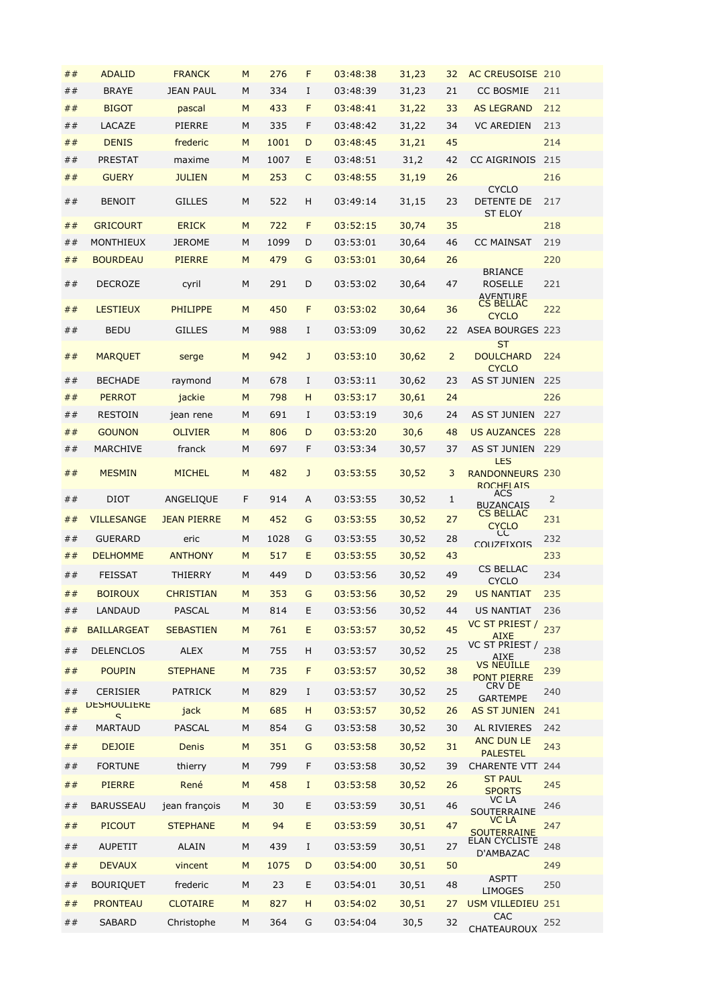| ## | <b>ADALID</b>                  | <b>FRANCK</b>      | M | 276  | F | 03:48:38 | 31,23 | 32             | AC CREUSOISE 210                                         |                |
|----|--------------------------------|--------------------|---|------|---|----------|-------|----------------|----------------------------------------------------------|----------------|
| ## | <b>BRAYE</b>                   | JEAN PAUL          | M | 334  | I | 03:48:39 | 31,23 | 21             | <b>CC BOSMIE</b>                                         | 211            |
| ## | <b>BIGOT</b>                   | pascal             | M | 433  | F | 03:48:41 | 31,22 | 33             | <b>AS LEGRAND</b>                                        | 212            |
| ## | LACAZE                         | <b>PIERRE</b>      | М | 335  | F | 03:48:42 | 31,22 | 34             | <b>VC AREDIEN</b>                                        | 213            |
| ## | <b>DENIS</b>                   | frederic           | M | 1001 | D | 03:48:45 | 31,21 | 45             |                                                          | 214            |
| ## | <b>PRESTAT</b>                 | maxime             | M | 1007 | Ε | 03:48:51 | 31,2  | 42             | CC AIGRINOIS                                             | 215            |
| ## | <b>GUERY</b>                   | <b>JULIEN</b>      | M | 253  | C | 03:48:55 | 31,19 | 26             |                                                          | 216            |
| ## | <b>BENOIT</b>                  | <b>GILLES</b>      | M | 522  | H | 03:49:14 | 31,15 | 23             | <b>CYCLO</b><br>DETENTE DE<br><b>ST FLOY</b>             | 217            |
| ## | <b>GRICOURT</b>                | <b>ERICK</b>       | M | 722  | F | 03:52:15 | 30,74 | 35             |                                                          | 218            |
| ## | MONTHIEUX                      | <b>JEROME</b>      | M | 1099 | D | 03:53:01 | 30,64 | 46             | <b>CC MAINSAT</b>                                        | 219            |
| ## | <b>BOURDEAU</b>                | <b>PIERRE</b>      | M | 479  | G | 03:53:01 | 30,64 | 26             |                                                          | 220            |
| ## | <b>DECROZE</b>                 | cyril              | М | 291  | D | 03:53:02 | 30,64 | 47             | <b>BRIANCE</b><br><b>ROSELLE</b><br><b>AVFNTURF</b>      | 221            |
| ## | <b>LESTIEUX</b>                | <b>PHILIPPE</b>    | M | 450  | F | 03:53:02 | 30,64 | 36             | <b>CS BELLAC</b><br><b>CYCLO</b>                         | 222            |
| ## | <b>BEDU</b>                    | <b>GILLES</b>      | М | 988  | I | 03:53:09 | 30,62 | 22             | <b>ASEA BOURGES 223</b>                                  |                |
| ## | <b>MARQUET</b>                 | serge              | M | 942  | J | 03:53:10 | 30,62 | $\overline{2}$ | <b>ST</b><br><b>DOULCHARD</b><br>CYCLO                   | 224            |
| ## | <b>BECHADE</b>                 | raymond            | М | 678  | I | 03:53:11 | 30,62 | 23             | AS ST JUNIEN                                             | 225            |
| ## | <b>PERROT</b>                  | jackie             | M | 798  | H | 03:53:17 | 30,61 | 24             |                                                          | 226            |
| ## | <b>RESTOIN</b>                 | jean rene          | М | 691  | I | 03:53:19 | 30,6  | 24             | AS ST JUNIEN                                             | 227            |
| ## | <b>GOUNON</b>                  | <b>OLIVIER</b>     | M | 806  | D | 03:53:20 | 30,6  | 48             | <b>US AUZANCES</b>                                       | 228            |
| ## | MARCHIVE                       | franck             | M | 697  | F | 03:53:34 | 30,57 | 37             | AS ST JUNIEN 229                                         |                |
| ## | <b>MESMIN</b>                  | <b>MICHEL</b>      | M | 482  | J | 03:53:55 | 30,52 | 3              | <b>LES</b><br><b>RANDONNEURS 230</b><br><b>ROCHELAIS</b> |                |
| ## | DIOT                           | ANGELIQUE          | F | 914  | A | 03:53:55 | 30,52 | 1              | ACS<br><b>BUZANCAIS</b>                                  | $\overline{2}$ |
| ## | <b>VILLESANGE</b>              | <b>JEAN PIERRE</b> | M | 452  | G | 03:53:55 | 30,52 | 27             | <b>CS BELLAC</b><br><b>CYCLO</b><br>СC                   | 231            |
| ## | <b>GUERARD</b>                 | eric               | М | 1028 | G | 03:53:55 | 30,52 | 28             | <b>COLIZEIXOIS</b>                                       | 232            |
| ## | <b>DELHOMME</b>                | <b>ANTHONY</b>     | M | 517  | E | 03:53:55 | 30,52 | 43             | <b>CS BELLAC</b>                                         | 233            |
| ## | <b>FEISSAT</b>                 | <b>THIERRY</b>     | М | 449  | D | 03:53:56 | 30,52 | 49             | <b>CYCLO</b>                                             | 234            |
| ## | <b>BOIROUX</b>                 | <b>CHRISTIAN</b>   | M | 353  | G | 03:53:56 | 30,52 | 29             | <b>US NANTIAT</b>                                        | 235            |
| ## | LANDAUD                        | <b>PASCAL</b>      | М | 814  | E | 03:53:56 | 30,52 | 44             | <b>US NANTIAT</b>                                        | 236            |
| ## | <b>BAILLARGEAT</b>             | <b>SEBASTIEN</b>   | M | 761  | E | 03:53:57 | 30,52 | 45             | VC ST PRIEST /<br><b>AIXE</b>                            | 237            |
| ## | <b>DELENCLOS</b>               | <b>ALEX</b>        | М | 755  | H | 03:53:57 | 30,52 | 25             | VC ST PRIEST /<br>AIXE                                   | 238            |
| ## | <b>POUPIN</b>                  | <b>STEPHANE</b>    | M | 735  | F | 03:53:57 | 30,52 | 38             | <b>VS NEUILLE</b><br><b>PONT PIERRE</b>                  | 239            |
| ## | <b>CERISIER</b>                | <b>PATRICK</b>     | М | 829  | I | 03:53:57 | 30,52 | 25             | CRV DE<br><b>GARTEMPE</b>                                | 240            |
| ## | <b><i>DESHOULIERE</i></b><br>ς | jack               | M | 685  | H | 03:53:57 | 30,52 | 26             | <b>AS ST JUNIEN</b>                                      | 241            |
| ## | <b>MARTAUD</b>                 | <b>PASCAL</b>      | М | 854  | G | 03:53:58 | 30,52 | 30             | AL RIVIERES                                              | 242            |
| ## | <b>DEJOIE</b>                  | Denis              | M | 351  | G | 03:53:58 | 30,52 | 31             | <b>ANC DUN LE</b>                                        | 243            |
| ## | <b>FORTUNE</b>                 | thierry            | М | 799  | F | 03:53:58 | 30,52 | 39             | <b>PALESTEL</b><br>CHARENTE VTT 244                      |                |
| ## | <b>PIERRE</b>                  | René               | M | 458  | I | 03:53:58 | 30,52 | 26             | <b>ST PAUL</b>                                           | 245            |
| ## | <b>BARUSSEAU</b>               | jean françois      | М | 30   | E | 03:53:59 | 30,51 | 46             | <b>SPORTS</b><br>VC LA                                   | 246            |
| ## | <b>PICOUT</b>                  | <b>STEPHANE</b>    | M | 94   | E | 03:53:59 | 30,51 | 47             | SOUTERRAINE<br>VC LA                                     | 247            |
|    |                                |                    |   |      |   |          |       |                | <b>SOUTERRAINE</b><br>ELAN CYCLISTE                      |                |
| ## | <b>AUPETIT</b>                 | <b>ALAIN</b>       | М | 439  | I | 03:53:59 | 30,51 | 27             | D'AMBAZAC                                                | 248            |
| ## | <b>DEVAUX</b>                  | vincent            | M | 1075 | D | 03:54:00 | 30,51 | 50             | <b>ASPTT</b>                                             | 249            |
| ## | <b>BOURIQUET</b>               | frederic           | М | 23   | E | 03:54:01 | 30,51 | 48             | <b>LIMOGES</b>                                           | 250            |
| ## | <b>PRONTEAU</b>                | <b>CLOTAIRE</b>    | M | 827  | H | 03:54:02 | 30,51 | 27             | <b>USM VILLEDIEU 251</b>                                 |                |
| ## | <b>SABARD</b>                  | Christophe         | М | 364  | G | 03:54:04 | 30,5  | 32             | <b>CAC</b>                                               | 252            |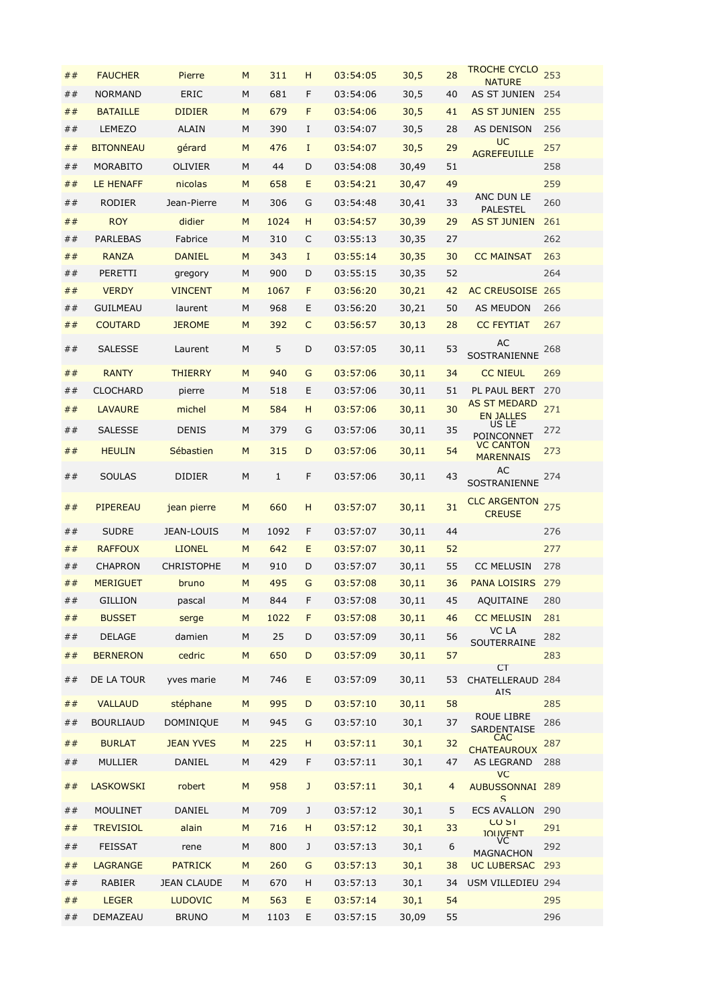| ##        | <b>FAUCHER</b>   | Pierre             | M | 311          | н           | 03:54:05 | 30,5  | 28 | <b>TROCHE CYCLO</b><br><b>NATURE</b>        | 253 |
|-----------|------------------|--------------------|---|--------------|-------------|----------|-------|----|---------------------------------------------|-----|
| ##        | <b>NORMAND</b>   | <b>ERIC</b>        | M | 681          | F           | 03:54:06 | 30,5  | 40 | AS ST JUNIEN                                | 254 |
| ##        | <b>BATAILLE</b>  | <b>DIDIER</b>      | M | 679          | F           | 03:54:06 | 30,5  | 41 | <b>AS ST JUNIEN</b>                         | 255 |
| ##        | <b>LEMEZO</b>    | <b>ALAIN</b>       | M | 390          | I           | 03:54:07 | 30,5  | 28 | AS DENISON                                  | 256 |
| ##        | <b>BITONNEAU</b> | gérard             | M | 476          | $\mathbf I$ | 03:54:07 | 30,5  | 29 | <b>UC</b><br><b>AGREFEUILLE</b>             | 257 |
| ##        | <b>MORABITO</b>  | <b>OLIVIER</b>     | M | 44           | D           | 03:54:08 | 30,49 | 51 |                                             | 258 |
| ##        | <b>LE HENAFF</b> | nicolas            | M | 658          | E           | 03:54:21 | 30,47 | 49 |                                             | 259 |
| ##        | RODIER           | Jean-Pierre        | M | 306          | G           | 03:54:48 | 30,41 | 33 | ANC DUN LE                                  | 260 |
| ##        | <b>ROY</b>       | didier             | M | 1024         | H           | 03:54:57 | 30,39 | 29 | <b>PALESTEL</b><br><b>AS ST JUNIEN</b>      | 261 |
| ##        | <b>PARLEBAS</b>  | Fabrice            | M | 310          | C           | 03:55:13 | 30,35 | 27 |                                             | 262 |
| ##        | <b>RANZA</b>     | <b>DANIEL</b>      | M | 343          | I           | 03:55:14 | 30,35 | 30 | <b>CC MAINSAT</b>                           | 263 |
| ##        | PERETTI          | gregory            | M | 900          | D           | 03:55:15 | 30,35 | 52 |                                             | 264 |
| ##        | <b>VERDY</b>     | <b>VINCENT</b>     | M | 1067         | F           | 03:56:20 | 30,21 | 42 | <b>AC CREUSOISE 265</b>                     |     |
| ##        | <b>GUILMEAU</b>  | laurent            | M | 968          | E           | 03:56:20 | 30,21 | 50 | AS MEUDON                                   | 266 |
| ##        | <b>COUTARD</b>   | <b>JEROME</b>      | M | 392          | C           | 03:56:57 | 30,13 | 28 | <b>CC FEYTIAT</b>                           | 267 |
| ##        | <b>SALESSE</b>   | Laurent            | М | 5            | D           | 03:57:05 | 30,11 | 53 | AC                                          | 268 |
|           |                  |                    |   |              |             |          |       |    | SOSTRANIENNE                                |     |
| ##        | <b>RANTY</b>     | <b>THIERRY</b>     | M | 940          | G           | 03:57:06 | 30,11 | 34 | <b>CC NIEUL</b>                             | 269 |
| ##        | <b>CLOCHARD</b>  | pierre             | M | 518          | E           | 03:57:06 | 30,11 | 51 | PL PAUL BERT<br><b>AS ST MEDARD</b>         | 270 |
| ##        | <b>LAVAURE</b>   | michel             | M | 584          | н           | 03:57:06 | 30,11 | 30 | <b>EN JALLES</b>                            | 271 |
| ##        | <b>SALESSE</b>   | <b>DENIS</b>       | M | 379          | G           | 03:57:06 | 30,11 | 35 | US LE<br>POINCONNET                         | 272 |
| ##        | <b>HEULIN</b>    | Sébastien          | M | 315          | D           | 03:57:06 | 30,11 | 54 | <b>VC CANTON</b><br><b>MARENNAIS</b>        | 273 |
| ##        | <b>SOULAS</b>    | <b>DIDIER</b>      | М | $\mathbf{1}$ | F           | 03:57:06 | 30,11 | 43 | AC<br>SOSTRANIENNE                          | 274 |
| ##        | PIPEREAU         | jean pierre        | M | 660          | н           | 03:57:07 | 30,11 | 31 | <b>CLC ARGENTON</b><br><b>CREUSE</b>        | 275 |
| ##        | <b>SUDRE</b>     | <b>JEAN-LOUIS</b>  | M | 1092         | F           | 03:57:07 | 30,11 | 44 |                                             | 276 |
| ##        | <b>RAFFOUX</b>   | <b>LIONEL</b>      | M | 642          | Ε           | 03:57:07 | 30,11 | 52 |                                             | 277 |
| ##        | CHAPRON          | <b>CHRISTOPHE</b>  | M | 910          | D           | 03:57:07 | 30,11 | 55 | <b>CC MELUSIN</b>                           | 278 |
| ##        | <b>MERIGUET</b>  | bruno              | M | 495          | G           | 03:57:08 | 30,11 | 36 | <b>PANA LOISIRS</b>                         | 279 |
| ##        | <b>GILLION</b>   | pascal             | M | 844          | F           | 03:57:08 | 30,11 | 45 | AQUITAINE                                   | 280 |
| ##        | <b>BUSSET</b>    | serge              | M | 1022         | F           | 03:57:08 | 30,11 | 46 | <b>CC MELUSIN</b>                           | 281 |
| ##        | <b>DELAGE</b>    | damien             | М | 25           | D           | 03:57:09 | 30,11 | 56 | <b>VC LA</b><br>SOUTERRAINE                 | 282 |
| ##        | <b>BERNERON</b>  | cedric             | M | 650          | D           | 03:57:09 | 30,11 | 57 |                                             | 283 |
| ##        | DE LA TOUR       | yves marie         | М | 746          | E           | 03:57:09 | 30,11 | 53 | <b>CT</b><br>CHATELLERAUD 284<br><b>AIS</b> |     |
| ##        | <b>VALLAUD</b>   | stéphane           | M | 995          | D           | 03:57:10 | 30,11 | 58 |                                             | 285 |
| ##        | <b>BOURLIAUD</b> | <b>DOMINIQUE</b>   | М | 945          | G           | 03:57:10 | 30,1  | 37 | ROUE LIBRE<br>SARDENTAISE                   | 286 |
| $\#$ $\#$ | <b>BURLAT</b>    | <b>JEAN YVES</b>   | M | 225          | H           | 03:57:11 | 30,1  | 32 | <b>CAC</b><br><b>CHATEAUROUX</b>            | 287 |
| ##        | <b>MULLIER</b>   | DANIEL             | М | 429          | F           | 03:57:11 | 30,1  | 47 | <b>AS LEGRAND</b>                           | 288 |
| ##        | <b>LASKOWSKI</b> | robert             | M | 958          | $\mathsf J$ | 03:57:11 | 30,1  | 4  | <b>VC</b><br>AUBUSSONNAI 289                |     |
| ##        | <b>MOULINET</b>  | DANIEL             | М | 709          | J           | 03:57:12 | 30,1  | 5  | S<br><b>ECS AVALLON</b>                     | 290 |
| ##        | <b>TREVISIOL</b> | alain              | M | 716          | H           | 03:57:12 | 30,1  | 33 | <b>CO ST</b><br><b>IOLIVENT</b>             | 291 |
| ##        | FEISSAT          | rene               | М | 800          | J           | 03:57:13 | 30,1  | 6  | VC                                          | 292 |
| ##        | <b>LAGRANGE</b>  | <b>PATRICK</b>     | M | 260          | G           | 03:57:13 | 30,1  | 38 | <b>MAGNACHON</b><br><b>UC LUBERSAC</b>      | 293 |
| ##        | <b>RABIER</b>    | <b>JEAN CLAUDE</b> | M | 670          | н           | 03:57:13 | 30,1  | 34 | USM VILLEDIEU 294                           |     |
| ##        | <b>LEGER</b>     | <b>LUDOVIC</b>     | M | 563          | Ε           | 03:57:14 | 30,1  | 54 |                                             | 295 |
| ##        | DEMAZEAU         | <b>BRUNO</b>       | М | 1103         | E           | 03:57:15 | 30,09 | 55 |                                             | 296 |
|           |                  |                    |   |              |             |          |       |    |                                             |     |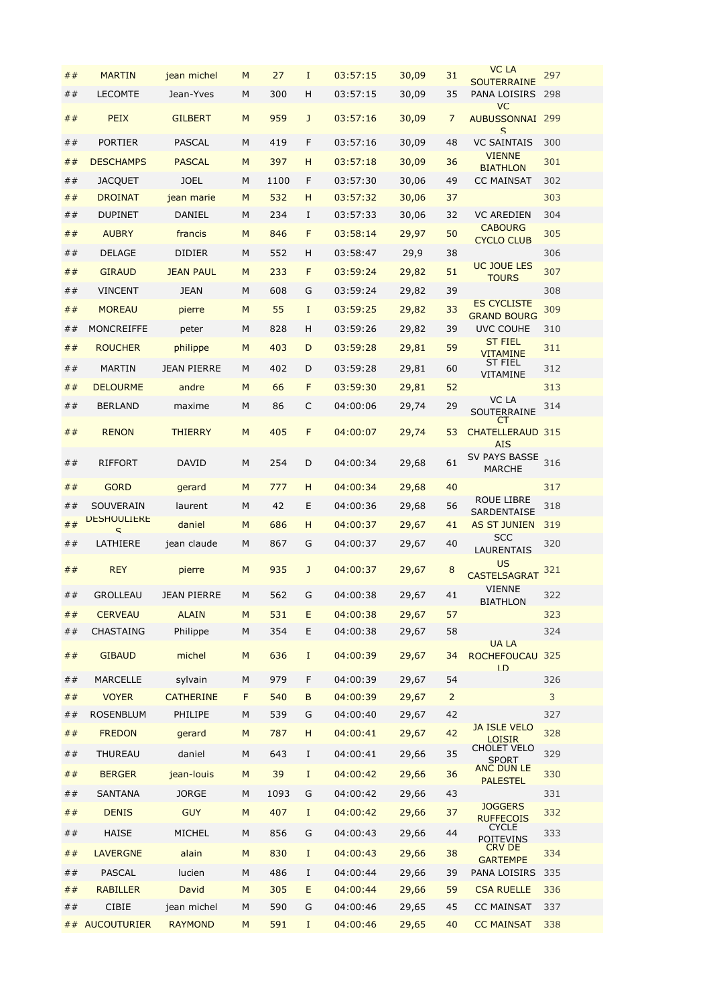|           |                         |                    |   |      |              |          |       |                | <b>VC LA</b>                                        |     |
|-----------|-------------------------|--------------------|---|------|--------------|----------|-------|----------------|-----------------------------------------------------|-----|
| ##        | <b>MARTIN</b>           | jean michel        | M | 27   | $\mathbf I$  | 03:57:15 | 30,09 | 31             | <b>SOUTERRAINE</b>                                  | 297 |
| ##        | <b>LECOMTE</b>          | Jean-Yves          | М | 300  | н            | 03:57:15 | 30,09 | 35             | PANA LOISIRS                                        | 298 |
| ##        | PEIX                    | <b>GILBERT</b>     | M | 959  | $\mathbf{J}$ | 03:57:16 | 30,09 | 7              | <b>VC</b><br><b>AUBUSSONNAI 299</b><br>$\mathsf{S}$ |     |
| ##        | <b>PORTIER</b>          | <b>PASCAL</b>      | M | 419  | F            | 03:57:16 | 30,09 | 48             | <b>VC SAINTAIS</b>                                  | 300 |
| ##        | <b>DESCHAMPS</b>        | <b>PASCAL</b>      | M | 397  | н            | 03:57:18 | 30,09 | 36             | <b>VIENNE</b><br><b>BIATHLON</b>                    | 301 |
| ##        | <b>JACQUET</b>          | <b>JOEL</b>        | М | 1100 | F            | 03:57:30 | 30,06 | 49             | <b>CC MAINSAT</b>                                   | 302 |
| ##        | <b>DROINAT</b>          | jean marie         | M | 532  | н            | 03:57:32 | 30,06 | 37             |                                                     | 303 |
| ##        | <b>DUPINET</b>          | DANIEL             | М | 234  | 1            | 03:57:33 | 30,06 | 32             | <b>VC AREDIEN</b>                                   | 304 |
| ##        | <b>AUBRY</b>            | francis            | M | 846  | F            | 03:58:14 | 29,97 | 50             | <b>CABOURG</b><br><b>CYCLO CLUB</b>                 | 305 |
| ##        | <b>DELAGE</b>           | <b>DIDIER</b>      | М | 552  | H            | 03:58:47 | 29,9  | 38             |                                                     | 306 |
| ##        | <b>GIRAUD</b>           | <b>JEAN PAUL</b>   | M | 233  | F            | 03:59:24 | 29,82 | 51             | <b>UC JOUE LES</b><br><b>TOURS</b>                  | 307 |
| ##        | VINCENT                 | <b>JEAN</b>        | М | 608  | G            | 03:59:24 | 29,82 | 39             |                                                     | 308 |
| ##        | <b>MOREAU</b>           | pierre             | M | 55   | $\mathbf I$  | 03:59:25 | 29,82 | 33             | <b>ES CYCLISTE</b>                                  | 309 |
| ##        | MONCREIFFE              | peter              | М | 828  | H            | 03:59:26 | 29,82 | 39             | <b>GRAND BOURG</b><br><b>UVC COUHE</b>              | 310 |
| ##        | <b>ROUCHER</b>          | philippe           | M | 403  | D            | 03:59:28 | 29,81 | 59             | <b>ST FIEL</b>                                      | 311 |
| ##        | <b>MARTIN</b>           | <b>JEAN PIERRE</b> | М | 402  | D            | 03:59:28 |       | 60             | <b>VITAMINE</b><br>ST FIEL                          | 312 |
|           |                         |                    |   |      |              |          | 29,81 |                | VITAMINE                                            |     |
| ##        | <b>DELOURME</b>         | andre              | M | 66   | F            | 03:59:30 | 29,81 | 52             | VC LA                                               | 313 |
| ##        | <b>BERLAND</b>          | maxime             | М | 86   | C            | 04:00:06 | 29,74 | 29             | SOUTERRAINE                                         | 314 |
| ##        | <b>RENON</b>            | <b>THIERRY</b>     | M | 405  | F            | 04:00:07 | 29,74 | 53             | <b>CHATELLERAUD 315</b><br><b>ATS</b>               |     |
| ##        | <b>RIFFORT</b>          | <b>DAVID</b>       | М | 254  | D            | 04:00:34 | 29,68 | 61             | SV PAYS BASSE<br><b>MARCHE</b>                      | 316 |
| ##        | <b>GORD</b>             | gerard             | M | 777  | H            | 04:00:34 | 29,68 | 40             |                                                     | 317 |
| ##        | SOUVERAIN               | laurent            | М | 42   | E            | 04:00:36 | 29,68 | 56             | <b>ROUE LIBRE</b><br><b>SARDENTAISE</b>             | 318 |
| ##        | <b>DESHOULIERE</b><br>ς | daniel             | M | 686  | H            | 04:00:37 | 29,67 | 41             | <b>AS ST JUNIEN</b>                                 | 319 |
| ##        | LATHIERE                | jean claude        | М | 867  | G            | 04:00:37 | 29,67 | 40             | <b>SCC</b><br><b>LAURENTAIS</b>                     | 320 |
| ##        | <b>REY</b>              | pierre             | M | 935  | J            | 04:00:37 | 29,67 | 8              | <b>US</b><br><b>CASTELSAGRAT</b><br><b>VIENNE</b>   | 321 |
| ##        | <b>GROLLEAU</b>         | <b>JEAN PIERRE</b> | M | 562  | G            | 04:00:38 | 29,67 | 41             | <b>BIATHLON</b>                                     | 322 |
| ##        | <b>CERVEAU</b>          | <b>ALAIN</b>       | M | 531  | E            | 04:00:38 | 29,67 | 57             |                                                     | 323 |
| ##        | CHASTAING               | Philippe           | М | 354  | Ε            | 04:00:38 | 29,67 | 58             |                                                     | 324 |
| $\#$ $\#$ | <b>GIBAUD</b>           | michel             | M | 636  | $\mathbf I$  | 04:00:39 | 29,67 | 34             | <b>UALA</b><br>ROCHEFOUCAU 325<br>ID                |     |
| ##        | <b>MARCELLE</b>         | sylvain            | M | 979  | F            | 04:00:39 | 29,67 | 54             |                                                     | 326 |
| ##        | <b>VOYER</b>            | <b>CATHERINE</b>   | F | 540  | B            | 04:00:39 | 29,67 | $\overline{2}$ |                                                     | 3   |
| ##        | <b>ROSENBLUM</b>        | PHILIPE            | М | 539  | G            | 04:00:40 | 29,67 | 42             |                                                     | 327 |
| ##        | <b>FREDON</b>           | gerard             | M | 787  | H            | 04:00:41 | 29,67 | 42             | <b>JA ISLE VELO</b><br><b>LOISIR</b><br>CHOLET VELO | 328 |
| ##        | THUREAU                 | daniel             | М | 643  | $\bf{I}$     | 04:00:41 | 29,66 | 35             | <b>SPORT</b><br><b>ANC DUN LE</b>                   | 329 |
| ##        | <b>BERGER</b>           | jean-louis         | M | 39   | $\mathbf{I}$ | 04:00:42 | 29,66 | 36             | <b>PALESTEL</b>                                     | 330 |
| ##        | <b>SANTANA</b>          | <b>JORGE</b>       | М | 1093 | G            | 04:00:42 | 29,66 | 43             |                                                     | 331 |
| ##        | <b>DENIS</b>            | <b>GUY</b>         | M | 407  | I            | 04:00:42 | 29,66 | 37             | <b>JOGGERS</b><br><b>RUFFECOIS</b>                  | 332 |
| ##        | <b>HAISE</b>            | MICHEL             | М | 856  | G            | 04:00:43 | 29,66 | 44             | <b>CYCLE</b><br><b>POITEVINS</b>                    | 333 |
| ##        | <b>LAVERGNE</b>         | alain              | M | 830  | $\mathbf I$  | 04:00:43 | 29,66 | 38             | CRV DE<br><b>GARTEMPE</b>                           | 334 |
| ##        | <b>PASCAL</b>           | lucien             | М | 486  | $\bf{I}$     | 04:00:44 | 29,66 | 39             | PANA LOISIRS                                        | 335 |
| ##        | <b>RABILLER</b>         | David              | M | 305  | E            | 04:00:44 | 29,66 | 59             | <b>CSA RUELLE</b>                                   | 336 |
| ##        | CIBIE                   | jean michel        | М | 590  | G            | 04:00:46 | 29,65 | 45             | <b>CC MAINSAT</b>                                   | 337 |
|           | ## AUCOUTURIER          | <b>RAYMOND</b>     | M | 591  | Ι.           | 04:00:46 | 29,65 | 40             | <b>CC MAINSAT</b>                                   | 338 |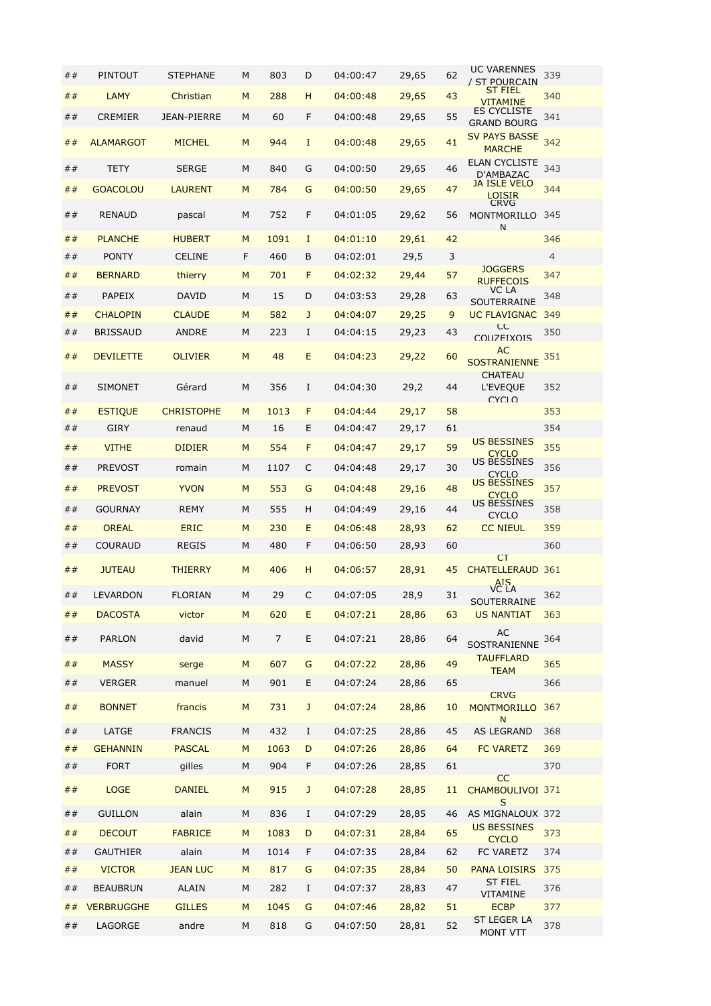| ## | PINTOUT           | <b>STEPHANE</b>    | M | 803            | D            | 04:00:47 | 29,65 | 62 | <b>UC VARENNES</b><br>/ ST POURCAIN               | 339            |
|----|-------------------|--------------------|---|----------------|--------------|----------|-------|----|---------------------------------------------------|----------------|
| ## | <b>LAMY</b>       | Christian          | M | 288            | н            | 04:00:48 | 29,65 | 43 | ST FIEL<br><b>VITAMINE</b>                        | 340            |
| ## | CREMIER           | <b>JEAN-PIERRE</b> | M | 60             | F            | 04:00:48 | 29,65 | 55 | ES CYCLISTE<br><b>GRAND BOURG</b>                 | 341            |
| ## | <b>ALAMARGOT</b>  | <b>MICHEL</b>      | M | 944            | $\mathbf I$  | 04:00:48 | 29,65 | 41 | <b>SV PAYS BASSE</b><br><b>MARCHE</b>             | 342            |
| ## | TETY              | <b>SERGE</b>       | М | 840            | G            | 04:00:50 | 29,65 | 46 | ELAN CYCLISTE<br>D'AMBAZAC                        | 343            |
| ## | <b>GOACOLOU</b>   | <b>LAURENT</b>     | M | 784            | G            | 04:00:50 | 29,65 | 47 | <b>JA ISLE VELO</b><br>LOISIR<br><b>CRVG</b>      | 344            |
| ## | <b>RENAUD</b>     | pascal             | М | 752            | F            | 04:01:05 | 29,62 | 56 | MONTMORILLO<br>N                                  | 345            |
| ## | <b>PLANCHE</b>    | <b>HUBERT</b>      | M | 1091           | I            | 04:01:10 | 29,61 | 42 |                                                   | 346            |
| ## | <b>PONTY</b>      | <b>CELINE</b>      | F | 460            | B            | 04:02:01 | 29,5  | 3  | <b>JOGGERS</b>                                    | $\overline{4}$ |
| ## | <b>BERNARD</b>    | thierry            | M | 701            | F            | 04:02:32 | 29,44 | 57 | <b>RUFFECOIS</b>                                  | 347            |
| ## | PAPEIX            | <b>DAVID</b>       | M | 15             | D            | 04:03:53 | 29,28 | 63 | VC LA<br>SOUTERRAINE                              | 348            |
| ## | <b>CHALOPIN</b>   | <b>CLAUDE</b>      | M | 582            | J            | 04:04:07 | 29,25 | 9  | UC FLAVIGNAC                                      | 349            |
| ## | <b>BRISSAUD</b>   | <b>ANDRE</b>       | М | 223            | I            | 04:04:15 | 29,23 | 43 | СC<br>COUZEIXOIS                                  | 350            |
| ## | <b>DEVILETTE</b>  | <b>OLIVIER</b>     | M | 48             | E            | 04:04:23 | 29,22 | 60 | AC<br><b>SOSTRANIENNE</b>                         | 351            |
| ## | <b>SIMONET</b>    | Gérard             | М | 356            | I            | 04:04:30 | 29,2  | 44 | CHATEAU<br><b>L'EVEQUE</b><br>CYCLO               | 352            |
| ## | <b>ESTIQUE</b>    | <b>CHRISTOPHE</b>  | M | 1013           | F            | 04:04:44 | 29,17 | 58 |                                                   | 353            |
| ## | <b>GIRY</b>       | renaud             | M | 16             | Ε            | 04:04:47 | 29,17 | 61 |                                                   | 354            |
| ## | <b>VITHE</b>      | <b>DIDIER</b>      | M | 554            | F            | 04:04:47 | 29,17 | 59 | <b>US BESSINES</b><br><b>CYCLO</b>                | 355            |
| ## | <b>PREVOST</b>    | romain             | M | 1107           | C            | 04:04:48 | 29,17 | 30 | US BESSINES<br><b>CYCLO</b>                       | 356            |
| ## | <b>PREVOST</b>    | <b>YVON</b>        | M | 553            | G            | 04:04:48 | 29,16 | 48 | <b>US BESSINES</b><br><b>CYCLO</b><br>US BESSINES | 357            |
| ## | <b>GOURNAY</b>    | <b>REMY</b>        | М | 555            | н            | 04:04:49 | 29,16 | 44 | <b>CYCLO</b>                                      | 358            |
| ## | <b>OREAL</b>      | <b>ERIC</b>        | M | 230            | E            | 04:06:48 | 28,93 | 62 | <b>CC NIEUL</b>                                   | 359            |
| ## | COURAUD           | REGIS              | М | 480            | F            | 04:06:50 | 28,93 | 60 | СT                                                | 360            |
| ## | <b>JUTEAU</b>     | <b>THIERRY</b>     | M | 406            | н            | 04:06:57 | 28,91 | 45 | <b>CHATELLERAUD 361</b><br><b>AIS</b>             |                |
| ## | LEVARDON          | <b>FLORIAN</b>     | M | 29             | C            | 04:07:05 | 28,9  | 31 | VC LA<br><b>SOUTERRAINE</b>                       | 362            |
| ## | <b>DACOSTA</b>    | victor             | M | 620            | E            | 04:07:21 | 28,86 | 63 | <b>US NANTIAT</b>                                 | 363            |
| ## | <b>PARLON</b>     | david              | М | $\overline{7}$ | E            | 04:07:21 | 28,86 | 64 | AC<br>SOSTRANIENNE                                | 364            |
| ## | <b>MASSY</b>      | serge              | M | 607            | G            | 04:07:22 | 28,86 | 49 | <b>TAUFFLARD</b><br><b>TEAM</b>                   | 365            |
| ## | <b>VERGER</b>     | manuel             | М | 901            | E            | 04:07:24 | 28,86 | 65 |                                                   | 366            |
| ## | <b>BONNET</b>     | francis            | M | 731            | J            | 04:07:24 | 28,86 | 10 | <b>CRVG</b><br><b>MONTMORILLO</b><br>N            | 367            |
| ## | LATGE             | <b>FRANCIS</b>     | М | 432            | I            | 04:07:25 | 28,86 | 45 | AS LEGRAND                                        | 368            |
| ## | <b>GEHANNIN</b>   | <b>PASCAL</b>      | M | 1063           | D            | 04:07:26 | 28,86 | 64 | <b>FC VARETZ</b>                                  | 369            |
| ## | <b>FORT</b>       | gilles             | М | 904            | F            | 04:07:26 | 28,85 | 61 |                                                   | 370            |
| ## | <b>LOGE</b>       | <b>DANIEL</b>      | M | 915            | $\mathsf{J}$ | 04:07:28 | 28,85 | 11 | CC<br>CHAMBOULIVOI 371<br>S                       |                |
| ## | <b>GUILLON</b>    | alain              | М | 836            | I            | 04:07:29 | 28,85 | 46 | AS MIGNALOUX 372                                  |                |
| ## | <b>DECOUT</b>     | <b>FABRICE</b>     | M | 1083           | D            | 04:07:31 | 28,84 | 65 | <b>US BESSINES</b><br><b>CYCLO</b>                | 373            |
| ## | <b>GAUTHIER</b>   | alain              | M | 1014           | F            | 04:07:35 | 28,84 | 62 | FC VARETZ                                         | 374            |
| ## | <b>VICTOR</b>     | <b>JEAN LUC</b>    | M | 817            | G            | 04:07:35 | 28,84 | 50 | <b>PANA LOISIRS</b>                               | 375            |
| ## | <b>BEAUBRUN</b>   | <b>ALAIN</b>       | М | 282            | $\bf{I}$     | 04:07:37 | 28,83 | 47 | <b>ST FIEL</b><br><b>VITAMINE</b>                 | 376            |
| ## | <b>VERBRUGGHE</b> | <b>GILLES</b>      | M | 1045           | G            | 04:07:46 | 28,82 | 51 | <b>ECBP</b>                                       | 377            |
| ## | LAGORGE           | andre              | М | 818            | G            | 04:07:50 | 28,81 | 52 | ST LEGER LA<br>MONT VTT                           | 378            |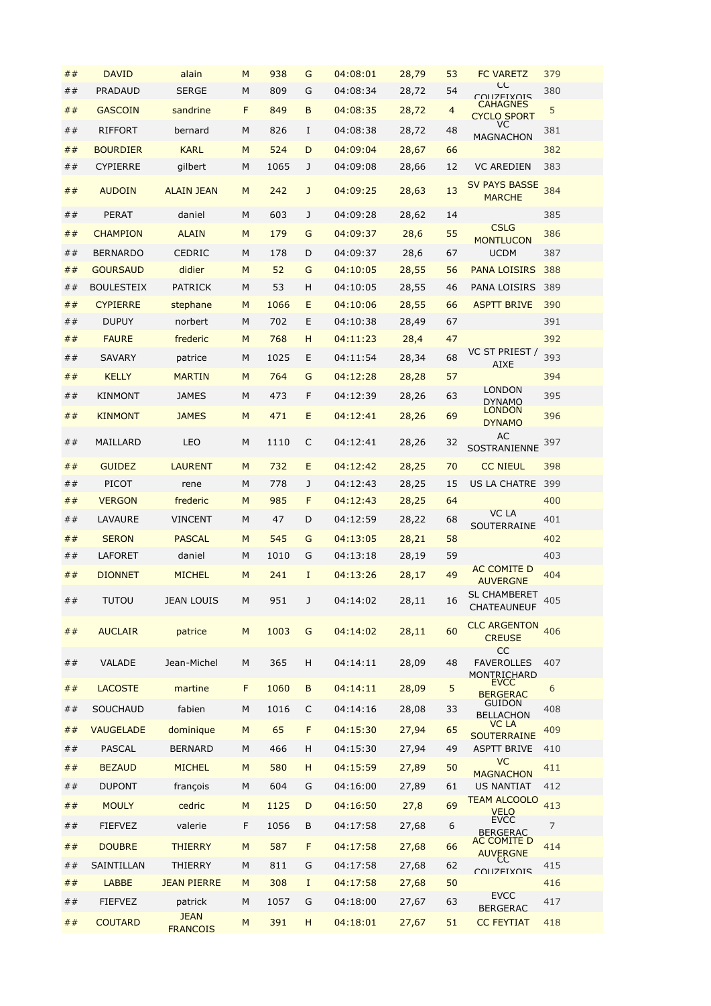| ## | <b>DAVID</b>               | alain                  | M | 938        | G                | 04:08:01 | 28,79 | 53             | <b>FC VARETZ</b>                                  | 379        |
|----|----------------------------|------------------------|---|------------|------------------|----------|-------|----------------|---------------------------------------------------|------------|
| ## | PRADAUD                    | <b>SERGE</b>           | M | 809        | G                | 04:08:34 | 28,72 | 54             | СC<br><b>COLIZEIXOIS</b>                          | 380        |
| ## | <b>GASCOIN</b>             | sandrine               | F | 849        | B                | 04:08:35 | 28,72 | $\overline{4}$ | <b>CAHAGNES</b><br><b>CYCLO SPORT</b>             | 5          |
| ## | <b>RIFFORT</b>             | bernard                | М | 826        | Ι.               | 04:08:38 | 28,72 | 48             | VC.<br><b>MAGNACHON</b>                           | 381        |
| ## | <b>BOURDIER</b>            | <b>KARL</b>            | M | 524        | D                | 04:09:04 | 28,67 | 66             |                                                   | 382        |
| ## | <b>CYPIERRE</b>            | gilbert                | M | 1065       | J                | 04:09:08 | 28,66 | 12             | <b>VC AREDIEN</b>                                 | 383        |
| ## | <b>AUDOIN</b>              | <b>ALAIN JEAN</b>      | M | 242        | J                | 04:09:25 | 28,63 | 13             | <b>SV PAYS BASSE</b><br><b>MARCHE</b>             | 384        |
| ## | <b>PERAT</b>               | daniel                 | M | 603        | J                | 04:09:28 | 28,62 | 14             |                                                   | 385        |
| ## | <b>CHAMPION</b>            | <b>ALAIN</b>           | M | 179        | G                | 04:09:37 | 28,6  | 55             | <b>CSLG</b><br><b>MONTLUCON</b>                   | 386        |
| ## | <b>BERNARDO</b>            | <b>CEDRIC</b>          | M | 178        | D                | 04:09:37 | 28,6  | 67             | <b>UCDM</b>                                       | 387        |
| ## | <b>GOURSAUD</b>            | didier                 | M | 52         | G                | 04:10:05 | 28,55 | 56             | PANA LOISIRS                                      | 388        |
| ## | <b>BOULESTEIX</b>          | <b>PATRICK</b>         | M | 53         | H                | 04:10:05 | 28,55 | 46             | PANA LOISIRS                                      | 389        |
| ## | <b>CYPIERRE</b>            | stephane               | M | 1066       | E                | 04:10:06 | 28,55 | 66             | <b>ASPTT BRIVE</b>                                | 390        |
| ## | <b>DUPUY</b>               | norbert                | M | 702        | E                | 04:10:38 | 28,49 | 67             |                                                   | 391        |
| ## | <b>FAURE</b>               | frederic               | M | 768        | н                | 04:11:23 | 28,4  | 47             | VC ST PRIEST /                                    | 392        |
| ## | <b>SAVARY</b>              | patrice                | M | 1025       | E                | 04:11:54 | 28,34 | 68             | <b>AIXE</b>                                       | 393        |
| ## | <b>KELLY</b>               | <b>MARTIN</b>          | M | 764        | G                | 04:12:28 | 28,28 | 57             |                                                   | 394        |
| ## | <b>KINMONT</b>             | <b>JAMES</b>           | M | 473        | F                | 04:12:39 | 28,26 | 63             | LONDON<br><b>DYNAMO</b>                           | 395        |
| ## | <b>KINMONT</b>             | <b>JAMES</b>           | M | 471        | E                | 04:12:41 | 28,26 | 69             | <b>LONDON</b><br><b>DYNAMO</b>                    | 396        |
| ## | MAILLARD                   | LEO                    | M | 1110       | C                | 04:12:41 | 28,26 | 32             | AC<br>SOSTRANIENNE                                | 397        |
| ## | <b>GUIDEZ</b>              | <b>LAURENT</b>         | M | 732        | E                | 04:12:42 | 28,25 | 70             | <b>CC NIEUL</b>                                   | 398        |
| ## | PICOT                      | rene                   | M | 778        | J                | 04:12:43 | 28,25 | 15             | <b>US LA CHATRE</b>                               | 399        |
| ## | <b>VERGON</b>              | frederic               | M | 985        | F                | 04:12:43 | 28,25 | 64             |                                                   | 400        |
| ## | LAVAURE                    | <b>VINCENT</b>         | M | 47         | D                | 04:12:59 | 28,22 | 68             | VC LA<br>SOUTERRAINE                              | 401        |
| ## | <b>SERON</b>               | <b>PASCAL</b>          | M | 545        | G                | 04:13:05 | 28,21 | 58             |                                                   | 402        |
| ## | LAFORET                    | daniel                 | M | 1010       | G                | 04:13:18 | 28,19 | 59             |                                                   | 403        |
| ## | <b>DIONNET</b>             | <b>MICHEL</b>          | M | 241        | $\mathbf I$      | 04:13:26 | 28,17 | 49             | AC COMITE D<br><b>AUVERGNE</b>                    | 404        |
| ## | <b>TUTOU</b>               | <b>JEAN LOUIS</b>      | M | 951        | J                | 04:14:02 | 28,11 | 16             | <b>SL CHAMBERET</b><br>CHATEAUNEUF                | 405        |
| ## | <b>AUCLAIR</b>             | patrice                | M | 1003       | G                | 04:14:02 | 28,11 | 60             | <b>CLC ARGENTON</b><br><b>CREUSE</b><br><b>CC</b> | 406        |
| ## | <b>VALADE</b>              | Jean-Michel            | M | 365        | H                | 04:14:11 | 28,09 | 48             | <b>FAVEROLLES</b><br>MONTRICHARD                  | 407        |
| ## | <b>LACOSTE</b>             | martine                | F | 1060       | B                | 04:14:11 | 28,09 | 5              | <b>EVCC</b><br><b>BERGERAC</b>                    | 6          |
| ## | SOUCHAUD                   | fabien                 | M | 1016       | C                | 04:14:16 | 28,08 | 33             | <b>GUIDON</b><br><b>BELLACHON</b>                 | 408        |
| ## | <b>VAUGELADE</b>           | dominique              | M | 65         | F                | 04:15:30 | 27,94 | 65             | VC LA<br><b>SOUTERRAINE</b>                       | 409        |
| ## | <b>PASCAL</b>              | <b>BERNARD</b>         | M | 466        | H                | 04:15:30 | 27,94 | 49             | <b>ASPTT BRIVE</b>                                | 410        |
| ## | <b>BEZAUD</b>              | <b>MICHEL</b>          | M | 580        | H                | 04:15:59 | 27,89 | 50             | <b>VC</b>                                         | 411        |
| ## | <b>DUPONT</b>              | françois               | М | 604        | G                | 04:16:00 | 27,89 | 61             | <b>MAGNACHON</b><br>US NANTIAT                    | 412        |
| ## | <b>MOULY</b>               | cedric                 | M | 1125       | D                | 04:16:50 | 27,8  | 69             | TEAM ALCOOLO                                      | 413        |
| ## | <b>FIEFVEZ</b>             | valerie                | F | 1056       | B                | 04:17:58 | 27,68 | 6              | <b>VELO</b><br><b>EVCC</b>                        | 7          |
|    |                            |                        |   |            |                  |          |       |                | <b>BERGERAC</b><br>AC COMITE D                    |            |
| ## | <b>DOUBRE</b>              | <b>THIERRY</b>         | M | 587        | F                | 04:17:58 | 27,68 | 66             | <b>AUVERGNE</b><br>CC                             | 414        |
| ## | SAINTILLAN<br><b>LABBE</b> | THIERRY                | М | 811<br>308 | G<br>$\mathbf I$ | 04:17:58 | 27,68 | 62<br>50       | <b>COLIZEIXOIS</b>                                | 415<br>416 |
| ## |                            | <b>JEAN PIERRE</b>     | M |            |                  | 04:17:58 | 27,68 |                | <b>EVCC</b>                                       |            |
| ## | <b>FIEFVEZ</b>             | patrick<br><b>JEAN</b> | М | 1057       | G                | 04:18:00 | 27,67 | 63             | <b>BERGERAC</b>                                   | 417        |
| ## | <b>COUTARD</b>             | <b>FRANCOIS</b>        | M | 391        | H                | 04:18:01 | 27,67 | 51             | <b>CC FEYTIAT</b>                                 | 418        |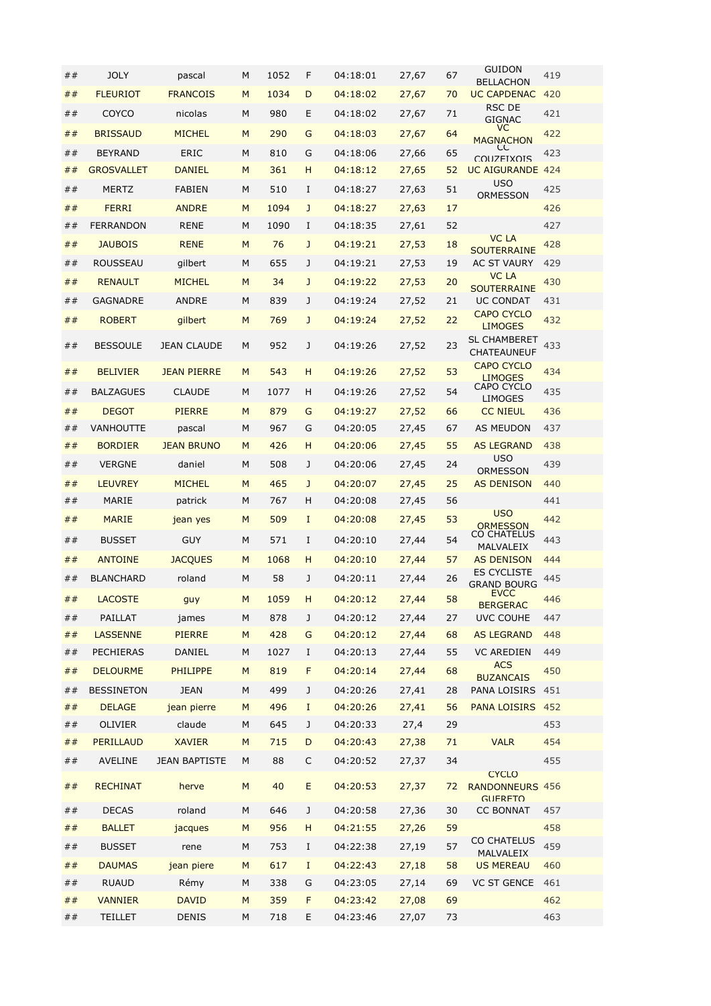| ##        | <b>JOLY</b>       | pascal               | M | 1052 | F            | 04:18:01 | 27,67 | 67 | <b>GUIDON</b><br><b>BELLACHON</b>                        | 419 |
|-----------|-------------------|----------------------|---|------|--------------|----------|-------|----|----------------------------------------------------------|-----|
| ##        | <b>FLEURIOT</b>   | <b>FRANCOIS</b>      | M | 1034 | D            | 04:18:02 | 27,67 | 70 | <b>UC CAPDENAC</b>                                       | 420 |
| ##        | COYCO             | nicolas              | M | 980  | E            | 04:18:02 | 27,67 | 71 | RSC DE<br>GIGNAC                                         | 421 |
| ##        | <b>BRISSAUD</b>   | <b>MICHEL</b>        | M | 290  | G            | 04:18:03 | 27,67 | 64 | VC.<br><b>MAGNACHON</b>                                  | 422 |
| ##        | <b>BEYRAND</b>    | <b>ERIC</b>          | M | 810  | G            | 04:18:06 | 27,66 | 65 | CC<br>COLIZEIXOIS                                        | 423 |
| ##        | <b>GROSVALLET</b> | <b>DANIEL</b>        | M | 361  | н            | 04:18:12 | 27,65 | 52 | <b>UC AIGURANDE 424</b>                                  |     |
| ##        | <b>MERTZ</b>      | <b>FABIEN</b>        | M | 510  | I            | 04:18:27 | 27,63 | 51 | <b>USO</b>                                               | 425 |
| ##        | <b>FERRI</b>      | <b>ANDRE</b>         | M | 1094 | J            | 04:18:27 | 27,63 | 17 | <b>ORMESSON</b>                                          | 426 |
| ##        | <b>FERRANDON</b>  | <b>RENE</b>          | M | 1090 | I            | 04:18:35 | 27,61 | 52 |                                                          | 427 |
| ##        | <b>JAUBOIS</b>    | <b>RENE</b>          | M | 76   | J            | 04:19:21 | 27,53 | 18 | <b>VC LA</b><br><b>SOUTERRAINE</b>                       | 428 |
| ##        | <b>ROUSSEAU</b>   | gilbert              | M | 655  | J            | 04:19:21 | 27,53 | 19 | <b>AC ST VAURY</b>                                       | 429 |
| ##        | <b>RENAULT</b>    | <b>MICHEL</b>        | M | 34   | $\mathbf{J}$ | 04:19:22 | 27,53 | 20 | VC LA<br><b>SOUTERRAINE</b>                              | 430 |
| ##        | <b>GAGNADRE</b>   | <b>ANDRE</b>         | M | 839  | J            | 04:19:24 | 27,52 | 21 | UC CONDAT                                                | 431 |
| ##        | <b>ROBERT</b>     | gilbert              | M | 769  | $\mathbf{J}$ | 04:19:24 | 27,52 | 22 | <b>CAPO CYCLO</b>                                        | 432 |
|           |                   |                      |   |      |              |          |       |    | <b>LIMOGES</b><br><b>SL CHAMBERET</b>                    |     |
| ##        | <b>BESSOULE</b>   | <b>JEAN CLAUDE</b>   | М | 952  | J            | 04:19:26 | 27,52 | 23 | <b>CHATEAUNEUF</b>                                       | 433 |
| ##        | <b>BELIVIER</b>   | <b>JEAN PIERRE</b>   | M | 543  | н            | 04:19:26 | 27,52 | 53 | <b>CAPO CYCLO</b><br><b>LIMOGES</b>                      | 434 |
| ##        | <b>BALZAGUES</b>  | <b>CLAUDE</b>        | M | 1077 | н            | 04:19:26 | 27,52 | 54 | CAPO CYCLO<br><b>LIMOGES</b>                             | 435 |
| ##        | <b>DEGOT</b>      | <b>PIERRE</b>        | M | 879  | G            | 04:19:27 | 27,52 | 66 | <b>CC NIEUL</b>                                          | 436 |
| ##        | VANHOUTTE         | pascal               | M | 967  | G            | 04:20:05 | 27,45 | 67 | AS MEUDON                                                | 437 |
| ##        | <b>BORDIER</b>    | <b>JEAN BRUNO</b>    | M | 426  | н            | 04:20:06 | 27,45 | 55 | <b>AS LEGRAND</b>                                        | 438 |
| ##        | <b>VERGNE</b>     | daniel               | M | 508  | J            | 04:20:06 | 27,45 | 24 | <b>USO</b><br><b>ORMESSON</b>                            | 439 |
| ##        | <b>LEUVREY</b>    | <b>MICHEL</b>        | M | 465  | $\mathbf{J}$ | 04:20:07 | 27,45 | 25 | <b>AS DENISON</b>                                        | 440 |
| ##        | MARIE             | patrick              | M | 767  | н            | 04:20:08 | 27,45 | 56 |                                                          | 441 |
| ##        | <b>MARIE</b>      | jean yes             | M | 509  | I            | 04:20:08 | 27,45 | 53 | <b>USO</b><br><b>ORMESSON</b>                            | 442 |
| ##        | <b>BUSSET</b>     | <b>GUY</b>           | M | 571  | I            | 04:20:10 | 27,44 | 54 | CO CHATELUS<br><b>MALVALEIX</b>                          | 443 |
| ##        | <b>ANTOINE</b>    | <b>JACQUES</b>       | M | 1068 | н            | 04:20:10 | 27,44 | 57 | <b>AS DENISON</b>                                        | 444 |
| ##        | <b>BLANCHARD</b>  | roland               | M | 58   | J            | 04:20:11 | 27,44 | 26 | <b>ES CYCLISTE</b><br><b>GRAND BOURG</b>                 | 445 |
| $\#$ $\#$ | <b>LACOSTE</b>    | guy                  | M | 1059 | н            | 04:20:12 | 27,44 | 58 | <b>EVCC</b><br><b>BERGERAC</b>                           | 446 |
| ##        | PAILLAT           | james                | M | 878  | J            | 04:20:12 | 27,44 | 27 | UVC COUHE                                                | 447 |
| ##        | <b>LASSENNE</b>   | <b>PIERRE</b>        | M | 428  | G            | 04:20:12 | 27,44 | 68 | <b>AS LEGRAND</b>                                        | 448 |
| ##        | PECHIERAS         | DANIEL               | М | 1027 | Ι.           | 04:20:13 | 27,44 | 55 | <b>VC AREDIEN</b>                                        | 449 |
| $\#$ $\#$ | <b>DELOURME</b>   | <b>PHILIPPE</b>      | M | 819  | F            | 04:20:14 | 27,44 | 68 | <b>ACS</b><br><b>BUZANCAIS</b>                           | 450 |
| ##        | <b>BESSINETON</b> | <b>JEAN</b>          | M | 499  | J            | 04:20:26 | 27,41 | 28 | PANA LOISIRS 451                                         |     |
| ##        | <b>DELAGE</b>     | jean pierre          | M | 496  | $\bf{I}$     | 04:20:26 | 27,41 | 56 | <b>PANA LOISIRS 452</b>                                  |     |
| $\# \,\#$ | OLIVIER           | claude               | М | 645  | J            | 04:20:33 | 27,4  | 29 |                                                          | 453 |
| ##        | <b>PERILLAUD</b>  | <b>XAVIER</b>        | M | 715  | D            | 04:20:43 | 27,38 | 71 | <b>VALR</b>                                              | 454 |
| ##        | <b>AVELINE</b>    | <b>JEAN BAPTISTE</b> | М | 88   | C            | 04:20:52 | 27,37 | 34 |                                                          | 455 |
| ##        | <b>RECHINAT</b>   | herve                | M | 40   | E            | 04:20:53 | 27,37 | 72 | <b>CYCLO</b><br><b>RANDONNEURS 456</b><br><b>GUERETO</b> |     |
| ##        | <b>DECAS</b>      | roland               | М | 646  | J            | 04:20:58 | 27,36 | 30 | <b>CC BONNAT</b>                                         | 457 |
| ##        | <b>BALLET</b>     | jacques              | M | 956  | H            | 04:21:55 | 27,26 | 59 |                                                          | 458 |
| ##        | <b>BUSSET</b>     | rene                 | М | 753  | Ι            | 04:22:38 | 27,19 | 57 | CO CHATELUS<br>MALVALEIX                                 | 459 |
| ##        | <b>DAUMAS</b>     | jean piere           | M | 617  | $\rm I$      | 04:22:43 | 27,18 | 58 | <b>US MEREAU</b>                                         | 460 |
| ##        | <b>RUAUD</b>      | Rémy                 | М | 338  | G            | 04:23:05 | 27,14 | 69 | <b>VC ST GENCE</b>                                       | 461 |
| ##        | <b>VANNIER</b>    | <b>DAVID</b>         | M | 359  | F            | 04:23:42 | 27,08 | 69 |                                                          | 462 |
| ##        | TEILLET           | <b>DENIS</b>         | М | 718  | E            | 04:23:46 | 27,07 | 73 |                                                          | 463 |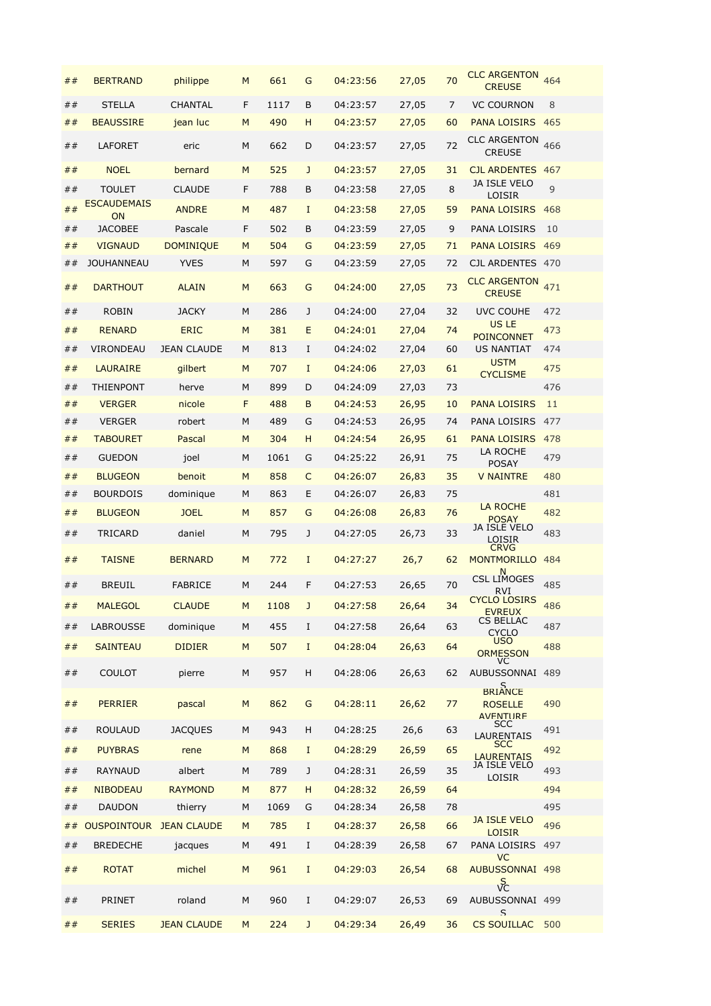| ##        | <b>BERTRAND</b>      | philippe           | M | 661  | G           | 04:23:56 | 27,05 | 70 | <b>CLC ARGENTON</b><br><b>CREUSE</b>         | 464 |
|-----------|----------------------|--------------------|---|------|-------------|----------|-------|----|----------------------------------------------|-----|
| ##        | <b>STELLA</b>        | <b>CHANTAL</b>     | F | 1117 | B           | 04:23:57 | 27,05 | 7  | <b>VC COURNON</b>                            | 8   |
| ##        | <b>BEAUSSIRE</b>     | jean luc           | M | 490  | H           | 04:23:57 | 27,05 | 60 | <b>PANA LOISIRS</b>                          | 465 |
| ##        | <b>LAFORET</b>       | eric               | M | 662  | D           | 04:23:57 | 27,05 | 72 | <b>CLC ARGENTON</b><br><b>CREUSE</b>         | 466 |
| ##        | <b>NOEL</b>          | bernard            | M | 525  | J           | 04:23:57 | 27,05 | 31 | <b>CJL ARDENTES 467</b>                      |     |
| ##        | <b>TOULET</b>        | <b>CLAUDE</b>      | F | 788  | В           | 04:23:58 | 27,05 | 8  | JA ISLE VELO                                 | 9   |
| ##        | <b>ESCAUDEMAIS</b>   | <b>ANDRE</b>       | M | 487  | $\mathbf I$ | 04:23:58 | 27,05 | 59 | LOISIR<br><b>PANA LOISIRS</b>                | 468 |
| ##        | ON<br><b>JACOBEE</b> | Pascale            | F | 502  | B           | 04:23:59 | 27,05 | 9  | PANA LOISIRS                                 | 10  |
| ##        | <b>VIGNAUD</b>       | <b>DOMINIQUE</b>   | M | 504  | G           | 04:23:59 | 27,05 | 71 | <b>PANA LOISIRS</b>                          | 469 |
| ##        | <b>JOUHANNEAU</b>    | <b>YVES</b>        | M | 597  | G           | 04:23:59 | 27,05 | 72 | CJL ARDENTES 470                             |     |
| ##        | <b>DARTHOUT</b>      | <b>ALAIN</b>       | M | 663  | G           | 04:24:00 | 27,05 | 73 | <b>CLC ARGENTON</b><br><b>CREUSE</b>         | 471 |
| ##        | <b>ROBIN</b>         | <b>JACKY</b>       | M | 286  | J           | 04:24:00 | 27,04 | 32 | <b>UVC COUHE</b>                             | 472 |
|           |                      |                    | M |      |             | 04:24:01 |       | 74 | US LE                                        |     |
| ##        | <b>RENARD</b>        | <b>ERIC</b>        |   | 381  | E           |          | 27,04 |    | <b>POINCONNET</b>                            | 473 |
| ##        | VIRONDEAU            | <b>JEAN CLAUDE</b> | M | 813  | I           | 04:24:02 | 27,04 | 60 | US NANTIAT<br><b>USTM</b>                    | 474 |
| ##        | <b>LAURAIRE</b>      | gilbert            | M | 707  | I           | 04:24:06 | 27,03 | 61 | <b>CYCLISME</b>                              | 475 |
| ##        | <b>THIENPONT</b>     | herve              | M | 899  | D           | 04:24:09 | 27,03 | 73 |                                              | 476 |
| ##        | <b>VERGER</b>        | nicole             | F | 488  | B           | 04:24:53 | 26,95 | 10 | <b>PANA LOISIRS</b>                          | 11  |
| ##        | <b>VERGER</b>        | robert             | M | 489  | G           | 04:24:53 | 26,95 | 74 | PANA LOISIRS                                 | 477 |
| ##        | <b>TABOURET</b>      | Pascal             | M | 304  | н           | 04:24:54 | 26,95 | 61 | <b>PANA LOISIRS</b>                          | 478 |
| ##        | <b>GUEDON</b>        | joel               | M | 1061 | G           | 04:25:22 | 26,91 | 75 | LA ROCHE<br><b>POSAY</b>                     | 479 |
| ##        | <b>BLUGEON</b>       | benoit             | M | 858  | C           | 04:26:07 | 26,83 | 35 | <b>V NAINTRE</b>                             | 480 |
| ##        | <b>BOURDOIS</b>      | dominique          | M | 863  | Ε           | 04:26:07 | 26,83 | 75 |                                              | 481 |
| ##        | <b>BLUGEON</b>       | <b>JOEL</b>        | M | 857  | G           | 04:26:08 | 26,83 | 76 | LA ROCHE<br><b>POSAY</b>                     | 482 |
| ##        | TRICARD              | daniel             | M | 795  | J           | 04:27:05 | 26,73 | 33 | JA ISLE VELO<br>LOISIR                       | 483 |
| ##        | <b>TAISNE</b>        | <b>BERNARD</b>     | M | 772  | $\mathbf I$ | 04:27:27 | 26,7  | 62 | <b>CRVG</b><br>MONTMORILLO 484<br>N          |     |
| ##        | <b>BREUIL</b>        | <b>FABRICE</b>     | M | 244  | F           | 04:27:53 | 26,65 | 70 | <b>CSL LIMOGES</b><br><b>RVI</b>             | 485 |
| $\#$ $\#$ | <b>MALEGOL</b>       | <b>CLAUDE</b>      | M | 1108 | J           | 04:27:58 | 26,64 | 34 | <b>CYCLO LOSIRS</b><br><b>EVREUX</b>         | 486 |
| ##        | <b>LABROUSSE</b>     | dominique          | М | 455  | I           | 04:27:58 | 26,64 | 63 | CS BELLAC<br><b>CYCLO</b>                    | 487 |
| ##        | <b>SAINTEAU</b>      | <b>DIDIER</b>      | M | 507  | $\bf{I}$    | 04:28:04 | 26,63 | 64 | <b>USO</b><br><b>ORMESSON</b>                | 488 |
| ##        | <b>COULOT</b>        | pierre             | M | 957  | н           | 04:28:06 | 26,63 | 62 | VC<br>AUBUSSONNAI 489                        |     |
| ##        | <b>PERRIER</b>       | pascal             | M | 862  | G           | 04:28:11 | 26,62 | 77 | BRIANCE<br><b>ROSELLE</b><br><b>AVFNTURF</b> | 490 |
| ##        | <b>ROULAUD</b>       | <b>JACQUES</b>     | M | 943  | н           | 04:28:25 | 26,6  | 63 | <b>SCC</b><br><b>LAURENTAIS</b>              | 491 |
| ##        | <b>PUYBRAS</b>       | rene               | M | 868  | I           | 04:28:29 | 26,59 | 65 | <b>SCC</b><br><b>LAURENTAIS</b>              | 492 |
| ##        | <b>RAYNAUD</b>       | albert             | M | 789  | J           | 04:28:31 | 26,59 | 35 | JA ISLE VELO<br><b>LOISIR</b>                | 493 |
| ##        | <b>NIBODEAU</b>      | <b>RAYMOND</b>     | M | 877  | H           | 04:28:32 | 26,59 | 64 |                                              | 494 |
| ##        | <b>DAUDON</b>        | thierry            | M | 1069 | G           | 04:28:34 | 26,58 | 78 |                                              | 495 |
| ##        | <b>OUSPOINTOUR</b>   | <b>JEAN CLAUDE</b> | M | 785  | $\bf{I}$    | 04:28:37 | 26,58 | 66 | <b>JA ISLE VELO</b>                          | 496 |
| ##        | <b>BREDECHE</b>      | jacques            | M | 491  | I           | 04:28:39 | 26,58 | 67 | <b>LOISIR</b><br>PANA LOISIRS 497            |     |
|           |                      |                    |   |      |             |          |       |    | <b>VC</b>                                    |     |
| ##        | <b>ROTAT</b>         | michel             | M | 961  | I           | 04:29:03 | 26,54 | 68 | AUBUSSONNAI 498<br>$\sqrt{\frac{5}{2}}$      |     |
| ##        | PRINET               | roland             | M | 960  | I           | 04:29:07 | 26,53 | 69 | AUBUSSONNAI 499<br>$\mathsf{S}$              |     |
| ##        | <b>SERIES</b>        | <b>JEAN CLAUDE</b> | M | 224  | J           | 04:29:34 | 26,49 | 36 | <b>CS SOUILLAC</b>                           | 500 |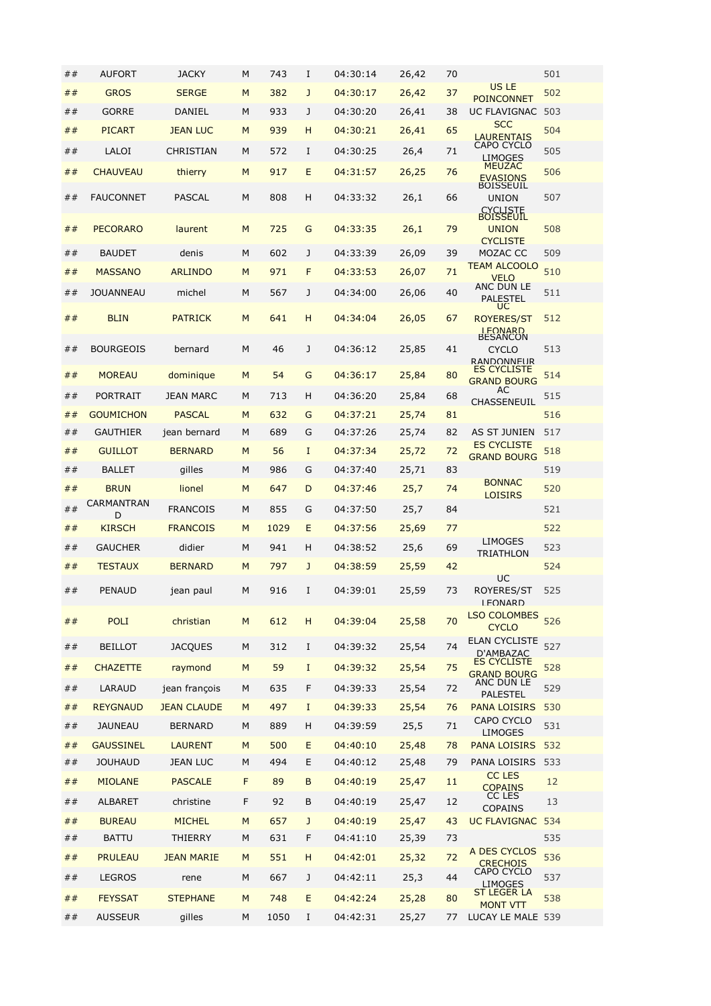| ## | <b>AUFORT</b>    | <b>JACKY</b>       | M | 743  | I            | 04:30:14 | 26,42 | 70 |                                                                        | 501 |
|----|------------------|--------------------|---|------|--------------|----------|-------|----|------------------------------------------------------------------------|-----|
| ## | <b>GROS</b>      | <b>SERGE</b>       | M | 382  | J            | 04:30:17 | 26,42 | 37 | <b>US LE</b><br><b>POINCONNET</b>                                      | 502 |
| ## | <b>GORRE</b>     | DANIEL             | M | 933  | J            | 04:30:20 | 26,41 | 38 | UC FLAVIGNAC 503                                                       |     |
| ## | <b>PICART</b>    | <b>JEAN LUC</b>    | M | 939  | н            | 04:30:21 | 26,41 | 65 | <b>SCC</b><br><b>LAURENTAIS</b>                                        | 504 |
| ## | LALOI            | CHRISTIAN          | M | 572  | I            | 04:30:25 | 26,4  | 71 | CAPO CYCLO                                                             | 505 |
| ## | <b>CHAUVEAU</b>  | thierry            | M | 917  | E            | 04:31:57 | 26,25 | 76 | <b>LIMOGES</b><br><b>MEUZAC</b><br><b>EVASIONS</b><br><b>BOISSEUIL</b> | 506 |
| ## | <b>FAUCONNET</b> | PASCAL             | M | 808  | Η            | 04:33:32 | 26,1  | 66 | <b>UNION</b><br><b>CYCLISTE</b>                                        | 507 |
| ## | <b>PECORARO</b>  | laurent            | M | 725  | G            | 04:33:35 | 26,1  | 79 | <b>BOISSEUIL</b><br><b>UNION</b><br><b>CYCLISTE</b>                    | 508 |
| ## | <b>BAUDET</b>    | denis              | M | 602  | J            | 04:33:39 | 26,09 | 39 | MOZAC CC                                                               | 509 |
| ## | <b>MASSANO</b>   | <b>ARLINDO</b>     | M | 971  | F            | 04:33:53 | 26,07 | 71 | <b>TEAM ALCOOLO</b><br><b>VELO</b>                                     | 510 |
| ## | <b>JOUANNEAU</b> | michel             | M | 567  | J            | 04:34:00 | 26,06 | 40 | ANC DUN LE<br><b>PALESTEL</b>                                          | 511 |
| ## | <b>BLIN</b>      | <b>PATRICK</b>     | M | 641  | н            | 04:34:04 | 26,05 | 67 | UC<br><b>ROYERES/ST</b><br><b>I FONARD</b><br>BESANCON                 | 512 |
| ## | <b>BOURGEOIS</b> | bernard            | M | 46   | J            | 04:36:12 | 25,85 | 41 | <b>CYCLO</b><br>RANDONNELIR                                            | 513 |
| ## | <b>MOREAU</b>    | dominique          | M | 54   | G            | 04:36:17 | 25,84 | 80 | <b>ES CYCLISTE</b><br><b>GRAND BOURG</b><br>AC                         | 514 |
| ## | PORTRAIT         | <b>JEAN MARC</b>   | M | 713  | н            | 04:36:20 | 25,84 | 68 | CHASSENEUIL                                                            | 515 |
| ## | <b>GOUMICHON</b> | <b>PASCAL</b>      | M | 632  | G            | 04:37:21 | 25,74 | 81 |                                                                        | 516 |
| ## | <b>GAUTHIER</b>  | jean bernard       | M | 689  | G            | 04:37:26 | 25,74 | 82 | AS ST JUNIEN<br><b>ES CYCLISTE</b>                                     | 517 |
| ## | <b>GUILLOT</b>   | <b>BERNARD</b>     | M | 56   | I            | 04:37:34 | 25,72 | 72 | <b>GRAND BOURG</b>                                                     | 518 |
| ## | <b>BALLET</b>    | gilles             | M | 986  | G            | 04:37:40 | 25,71 | 83 |                                                                        | 519 |
| ## | <b>BRUN</b>      | lionel             | M | 647  | D            | 04:37:46 | 25,7  | 74 | <b>BONNAC</b><br><b>LOISIRS</b>                                        | 520 |
| ## | CARMANTRAN<br>D  | <b>FRANCOIS</b>    | M | 855  | G            | 04:37:50 | 25,7  | 84 |                                                                        | 521 |
| ## | <b>KIRSCH</b>    | <b>FRANCOIS</b>    | M | 1029 | E            | 04:37:56 | 25,69 | 77 |                                                                        | 522 |
| ## | <b>GAUCHER</b>   | didier             | M | 941  | н            | 04:38:52 | 25,6  | 69 | <b>LIMOGES</b><br>TRIATHLON                                            | 523 |
| ## | <b>TESTAUX</b>   | <b>BERNARD</b>     | M | 797  | J            | 04:38:59 | 25,59 | 42 |                                                                        | 524 |
| ## | PENAUD           | jean paul          | M | 916  | I            | 04:39:01 | 25,59 | 73 | UC<br>ROYERES/ST<br><b>I FONARD</b>                                    | 525 |
| ## | <b>POLI</b>      | christian          | M | 612  | н            | 04:39:04 | 25,58 | 70 | <b>LSO COLOMBES</b><br><b>CYCLO</b>                                    | 526 |
| ## | <b>BEILLOT</b>   | <b>JACQUES</b>     | M | 312  | $\bf{I}$     | 04:39:32 | 25,54 | 74 | <b>ELAN CYCLISTE</b><br>D'AMBAZAC                                      | 527 |
| ## | <b>CHAZETTE</b>  | raymond            | M | 59   | $\mathbf I$  | 04:39:32 | 25,54 | 75 | <b>ES CYCLISTE</b><br><b>GRAND BOURG</b>                               | 528 |
| ## | LARAUD           | jean françois      | M | 635  | F            | 04:39:33 | 25,54 | 72 | ANC DUN LE<br><b>PALESTEL</b>                                          | 529 |
| ## | <b>REYGNAUD</b>  | <b>JEAN CLAUDE</b> | M | 497  | $\mathbf I$  | 04:39:33 | 25,54 | 76 | <b>PANA LOISIRS</b>                                                    | 530 |
| ## | <b>JAUNEAU</b>   | <b>BERNARD</b>     | M | 889  | н            | 04:39:59 | 25,5  | 71 | <b>CAPO CYCLO</b>                                                      | 531 |
| ## | <b>GAUSSINEL</b> | <b>LAURENT</b>     | M | 500  | E            | 04:40:10 | 25,48 | 78 | <b>LIMOGES</b><br><b>PANA LOISIRS</b>                                  | 532 |
| ## | <b>JOUHAUD</b>   | <b>JEAN LUC</b>    | M | 494  | E            | 04:40:12 | 25,48 | 79 | PANA LOISIRS                                                           | 533 |
| ## | <b>MIOLANE</b>   | <b>PASCALE</b>     | F | 89   | B            | 04:40:19 | 25,47 | 11 | <b>CC LES</b><br><b>COPAINS</b>                                        | 12  |
| ## | <b>ALBARET</b>   | christine          | F | 92   | B            | 04:40:19 | 25,47 | 12 | CC LES                                                                 | 13  |
| ## | <b>BUREAU</b>    | <b>MICHEL</b>      | M | 657  | $\mathbf{J}$ | 04:40:19 | 25,47 | 43 | <b>COPAINS</b><br><b>UC FLAVIGNAC</b>                                  | 534 |
| ## | <b>BATTU</b>     | THIERRY            | M | 631  | F            | 04:41:10 | 25,39 | 73 |                                                                        | 535 |
| ## | <b>PRULEAU</b>   | <b>JEAN MARIE</b>  | M | 551  | н            | 04:42:01 | 25,32 | 72 | A DES CYCLOS                                                           | 536 |
| ## | <b>LEGROS</b>    | rene               | M | 667  | J            | 04:42:11 | 25,3  | 44 | <b>CRECHOIS</b><br>CAPO CYCLO                                          | 537 |
|    |                  |                    |   |      |              |          |       |    | <b>LIMOGES</b><br>ST LEGER LA                                          |     |
| ## | <b>FEYSSAT</b>   | <b>STEPHANE</b>    | M | 748  | E            | 04:42:24 | 25,28 | 80 | <b>MONT VTT</b>                                                        | 538 |
| ## | <b>AUSSEUR</b>   | gilles             | M | 1050 | 1            | 04:42:31 | 25,27 | 77 | LUCAY LE MALE 539                                                      |     |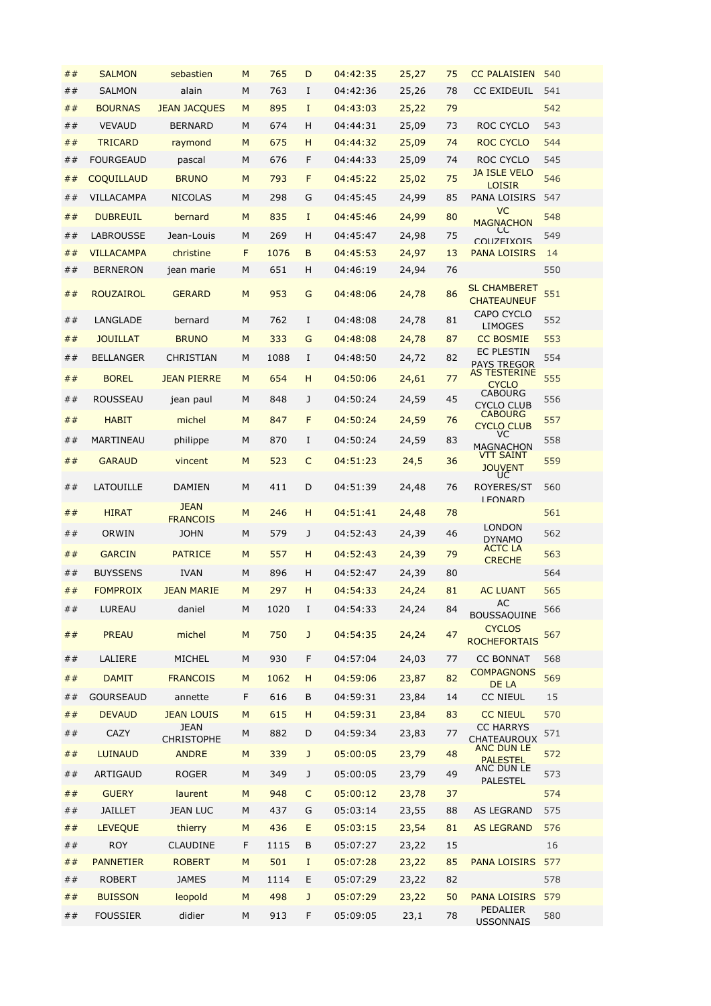| ##        | <b>SALMON</b>     | sebastien                         | M | 765  | D            | 04:42:35 | 25,27 | 75 | <b>CC PALAISIEN</b>                                            | 540 |
|-----------|-------------------|-----------------------------------|---|------|--------------|----------|-------|----|----------------------------------------------------------------|-----|
| ##        | <b>SALMON</b>     | alain                             | M | 763  | I            | 04:42:36 | 25,26 | 78 | <b>CC EXIDEUIL</b>                                             | 541 |
| ##        | <b>BOURNAS</b>    | <b>JEAN JACQUES</b>               | M | 895  | $\mathbf I$  | 04:43:03 | 25,22 | 79 |                                                                | 542 |
| ##        | <b>VEVAUD</b>     | <b>BERNARD</b>                    | M | 674  | н            | 04:44:31 | 25,09 | 73 | ROC CYCLO                                                      | 543 |
| ##        | <b>TRICARD</b>    | raymond                           | M | 675  | н            | 04:44:32 | 25,09 | 74 | ROC CYCLO                                                      | 544 |
| ##        | <b>FOURGEAUD</b>  | pascal                            | M | 676  | F            | 04:44:33 | 25,09 | 74 | ROC CYCLO                                                      | 545 |
| ##        | <b>COQUILLAUD</b> | <b>BRUNO</b>                      | M | 793  | F            | 04:45:22 | 25,02 | 75 | <b>JA ISLE VELO</b>                                            | 546 |
| ##        | VILLACAMPA        | <b>NICOLAS</b>                    | M | 298  | G            | 04:45:45 | 24,99 | 85 | <b>LOISIR</b><br>PANA LOISIRS                                  | 547 |
| ##        | <b>DUBREUIL</b>   | bernard                           | M | 835  | $\mathbf I$  | 04:45:46 | 24,99 | 80 | <b>VC</b>                                                      | 548 |
| ##        | <b>LABROUSSE</b>  | Jean-Louis                        | M | 269  | н            | 04:45:47 | 24,98 | 75 | <b>MAGNACHON</b><br>CC                                         | 549 |
| ##        | <b>VILLACAMPA</b> | christine                         | F | 1076 | B            | 04:45:53 |       | 13 | <b>COLIZEIXOIS</b><br><b>PANA LOISIRS</b>                      | 14  |
|           |                   |                                   |   | 651  |              |          | 24,97 | 76 |                                                                | 550 |
| ##        | <b>BERNERON</b>   | jean marie                        | М |      | н            | 04:46:19 | 24,94 |    |                                                                |     |
| ##        | <b>ROUZAIROL</b>  | <b>GERARD</b>                     | M | 953  | G            | 04:48:06 | 24,78 | 86 | <b>SL CHAMBERET</b><br><b>CHATEAUNEUF</b><br><b>CAPO CYCLO</b> | 551 |
| ##        | <b>LANGLADE</b>   | bernard                           | M | 762  | $\mathbf I$  | 04:48:08 | 24,78 | 81 | <b>LIMOGES</b>                                                 | 552 |
| ##        | <b>JOUILLAT</b>   | <b>BRUNO</b>                      | M | 333  | G            | 04:48:08 | 24,78 | 87 | <b>CC BOSMIE</b>                                               | 553 |
| ##        | <b>BELLANGER</b>  | CHRISTIAN                         | M | 1088 | I            | 04:48:50 | 24,72 | 82 | <b>EC PLESTIN</b><br><b>PAYS TREGOR</b>                        | 554 |
| ##        | <b>BOREL</b>      | <b>JEAN PIERRE</b>                | M | 654  | н            | 04:50:06 | 24,61 | 77 | <b>AS TESTERINE</b>                                            | 555 |
|           | <b>ROUSSEAU</b>   |                                   | M |      | J            | 04:50:24 | 24,59 | 45 | <b>CYCLO</b><br>CABOURG                                        |     |
| ##        |                   | jean paul                         |   | 848  |              |          |       |    | <b>CYCLO CLUB</b><br><b>CABOURG</b>                            | 556 |
| ##        | <b>HABIT</b>      | michel                            | M | 847  | F            | 04:50:24 | 24,59 | 76 | <b>CYCLO CLUB</b>                                              | 557 |
| ##        | MARTINEAU         | philippe                          | M | 870  | I            | 04:50:24 | 24,59 | 83 | VC.<br><b>MAGNACHON</b>                                        | 558 |
| ##        | <b>GARAUD</b>     | vincent                           | M | 523  | C            | 04:51:23 | 24,5  | 36 | <b>VTT SAINT</b><br><b>JOUVENT</b><br>UC                       | 559 |
| ##        | LATOUILLE         | <b>DAMIEN</b>                     | M | 411  | D            | 04:51:39 | 24,48 | 76 | ROYERES/ST<br><b>I FONARD</b>                                  | 560 |
| ##        | <b>HIRAT</b>      | <b>JEAN</b><br><b>FRANCOIS</b>    | M | 246  | н            | 04:51:41 | 24,48 | 78 |                                                                | 561 |
| ##        | ORWIN             | <b>JOHN</b>                       | M | 579  | J            | 04:52:43 | 24,39 | 46 | <b>LONDON</b>                                                  | 562 |
| ##        | <b>GARCIN</b>     | <b>PATRICE</b>                    | M | 557  | н            | 04:52:43 | 24,39 | 79 | <b>DYNAMO</b><br><b>ACTC LA</b>                                | 563 |
| ##        | <b>BUYSSENS</b>   | <b>IVAN</b>                       | M | 896  | н            | 04:52:47 | 24,39 | 80 | <b>CRECHE</b>                                                  | 564 |
| ##        | <b>FOMPROIX</b>   | <b>JEAN MARIE</b>                 | M | 297  | H            | 04:54:33 | 24,24 | 81 | <b>AC LUANT</b>                                                | 565 |
|           |                   |                                   |   |      |              |          |       |    | <b>AC</b>                                                      |     |
| ##        | LUREAU            | daniel                            | М | 1020 | I            | 04:54:33 | 24,24 | 84 | <b>BOUSSAQUINE</b>                                             | 566 |
| $\#$ $\#$ | <b>PREAU</b>      | michel                            | M | 750  | J            | 04:54:35 | 24,24 | 47 | <b>CYCLOS</b><br><b>ROCHEFORTAIS</b>                           | 567 |
| ##        | LALIERE           | MICHEL                            | M | 930  | $\mathsf F$  | 04:57:04 | 24,03 | 77 | <b>CC BONNAT</b>                                               | 568 |
| ##        | <b>DAMIT</b>      | <b>FRANCOIS</b>                   | M | 1062 | н            | 04:59:06 | 23,87 | 82 | <b>COMPAGNONS</b><br>DE LA                                     | 569 |
| ##        | <b>GOURSEAUD</b>  | annette                           | F | 616  | B            | 04:59:31 | 23,84 | 14 | <b>CC NIEUL</b>                                                | 15  |
| $\#$ $\#$ | <b>DEVAUD</b>     | <b>JEAN LOUIS</b>                 | M | 615  | H            | 04:59:31 | 23,84 | 83 | <b>CC NIEUL</b>                                                | 570 |
| ##        | CAZY              | JEAN                              | М | 882  | D            | 04:59:34 | 23,83 | 77 | <b>CC HARRYS</b>                                               | 571 |
| ##        | <b>LUINAUD</b>    | <b>CHRISTOPHE</b><br><b>ANDRE</b> | M | 339  | $\mathsf{J}$ | 05:00:05 | 23,79 | 48 | <b>CHATEAUROUX</b><br>ANC DUN LE                               | 572 |
|           |                   |                                   |   |      |              |          |       |    | <b>PALESTEL</b><br>ANC DUN LE                                  |     |
| ##        | ARTIGAUD          | <b>ROGER</b>                      | М | 349  | J            | 05:00:05 | 23,79 | 49 | <b>PALESTEL</b>                                                | 573 |
| ##        | <b>GUERY</b>      | laurent                           | M | 948  | C            | 05:00:12 | 23,78 | 37 |                                                                | 574 |
| ##        | <b>JAILLET</b>    | <b>JEAN LUC</b>                   | М | 437  | G            | 05:03:14 | 23,55 | 88 | AS LEGRAND                                                     | 575 |
| ##        | <b>LEVEQUE</b>    | thierry                           | M | 436  | E            | 05:03:15 | 23,54 | 81 | <b>AS LEGRAND</b>                                              | 576 |
| ##        | <b>ROY</b>        | <b>CLAUDINE</b>                   | F | 1115 | B            | 05:07:27 | 23,22 | 15 |                                                                | 16  |
| ##        | <b>PANNETIER</b>  | <b>ROBERT</b>                     | M | 501  | Ι.           | 05:07:28 | 23,22 | 85 | <b>PANA LOISIRS</b>                                            | 577 |
| ##        | <b>ROBERT</b>     | <b>JAMES</b>                      | М | 1114 | Е            | 05:07:29 | 23,22 | 82 |                                                                | 578 |
| ##        | <b>BUISSON</b>    | leopold                           | M | 498  | J            | 05:07:29 | 23,22 | 50 | <b>PANA LOISIRS</b>                                            | 579 |
| ##        | <b>FOUSSIER</b>   | didier                            | М | 913  | F            | 05:09:05 | 23,1  | 78 | PÉDALIER<br><b>USSONNAIS</b>                                   | 580 |